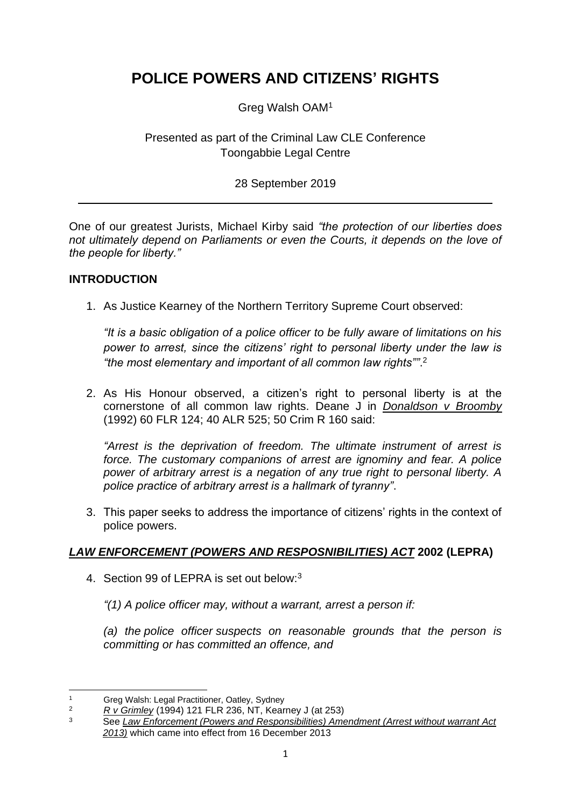# **POLICE POWERS AND CITIZENS' RIGHTS**

Greg Walsh OAM<sup>1</sup>

## Presented as part of the Criminal Law CLE Conference Toongabbie Legal Centre

## 28 September 2019

One of our greatest Jurists, Michael Kirby said *"the protection of our liberties does not ultimately depend on Parliaments or even the Courts, it depends on the love of the people for liberty."*

### **INTRODUCTION**

1. As Justice Kearney of the Northern Territory Supreme Court observed:

*"It is a basic obligation of a police officer to be fully aware of limitations on his power to arrest, since the citizens' right to personal liberty under the law is "the most elementary and important of all common law rights""*. 2

2. As His Honour observed, a citizen's right to personal liberty is at the cornerstone of all common law rights. Deane J in *Donaldson v Broomby* (1992) 60 FLR 124; 40 ALR 525; 50 Crim R 160 said:

*"Arrest is the deprivation of freedom. The ultimate instrument of arrest is force. The customary companions of arrest are ignominy and fear. A police power of arbitrary arrest is a negation of any true right to personal liberty. A police practice of arbitrary arrest is a hallmark of tyranny"*.

3. This paper seeks to address the importance of citizens' rights in the context of police powers.

## *LAW ENFORCEMENT (POWERS AND RESPOSNIBILITIES) ACT* **2002 (LEPRA)**

4. Section 99 of LEPRA is set out below:<sup>3</sup>

*"(1) A [police officer](http://classic.austlii.edu.au/au/legis/nsw/consol_act/leara2002451/s3.html#police_officer) may, without a warrant, arrest a person if:*

*(a) the [police officer](http://classic.austlii.edu.au/au/legis/nsw/consol_act/leara2002451/s3.html#police_officer) suspects on reasonable grounds that the person is committing or has committed an offence, and*

<sup>&</sup>lt;sup>1</sup> Greg Walsh: Legal Practitioner, Oatley, Sydney<br>
<sup>2</sup> By Grimley (1994) 121 ELP 236 NT Koar

 $\frac{2}{3}$  *R v Grimley* (1994) 121 FLR 236, NT, Kearney J (at 253)

<sup>3</sup> See *Law Enforcement (Powers and Responsibilities) Amendment (Arrest without warrant Act 2013)* which came into effect from 16 December 2013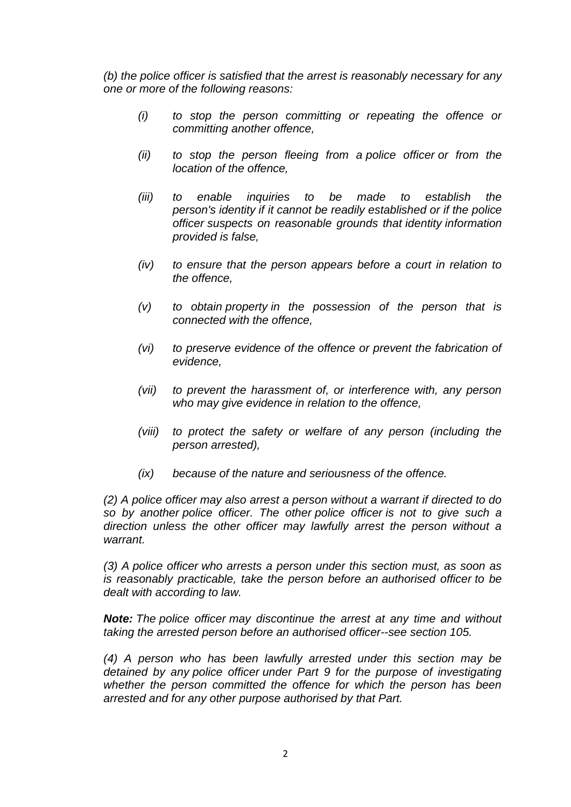*(b) the [police officer](http://classic.austlii.edu.au/au/legis/nsw/consol_act/leara2002451/s3.html#police_officer) is satisfied that the arrest is reasonably necessary for any one or more of the following reasons:*

- *(i) to stop the person committing or repeating the offence or committing another offence,*
- *(ii) to stop the person fleeing from a [police officer](http://classic.austlii.edu.au/au/legis/nsw/consol_act/leara2002451/s3.html#police_officer) or from the location of the offence,*
- *(iii) to enable inquiries to be made to establish the person's [identity](http://classic.austlii.edu.au/au/legis/nsw/consol_act/leara2002451/s3.html#identity) if it cannot be readily established or if the [police](http://classic.austlii.edu.au/au/legis/nsw/consol_act/leara2002451/s3.html#police_officer)  [officer](http://classic.austlii.edu.au/au/legis/nsw/consol_act/leara2002451/s3.html#police_officer) suspects on reasonable grounds that [identity](http://classic.austlii.edu.au/au/legis/nsw/consol_act/leara2002451/s3.html#identity) information provided is false,*
- *(iv) to ensure that the person appears before a court in relation to the offence,*
- *(v) to obtain [property](http://classic.austlii.edu.au/au/legis/nsw/consol_act/leara2002451/s3.html#property) in the possession of the person that is connected with the offence,*
- *(vi) to preserve evidence of the offence or prevent the fabrication of evidence,*
- *(vii) to prevent the harassment of, or interference with, any person who may give evidence in relation to the offence,*
- *(viii) to protect the safety or welfare of any person (including the person arrested),*
- *(ix) because of the nature and seriousness of the offence.*

*(2) A [police officer](http://classic.austlii.edu.au/au/legis/nsw/consol_act/leara2002451/s3.html#police_officer) may also arrest a person without a warrant if directed to do so by another [police officer.](http://classic.austlii.edu.au/au/legis/nsw/consol_act/leara2002451/s3.html#police_officer) The other [police officer](http://classic.austlii.edu.au/au/legis/nsw/consol_act/leara2002451/s3.html#police_officer) is not to give such a direction unless the other officer may lawfully arrest the person without a warrant.*

*(3) A [police officer](http://classic.austlii.edu.au/au/legis/nsw/consol_act/leara2002451/s3.html#police_officer) who arrests a person under this section must, as soon as is reasonably practicable, take the person before an [authorised officer](http://classic.austlii.edu.au/au/legis/nsw/consol_act/leara2002451/s3.html#authorised_officer) to be dealt with according to law.*

*Note: The [police officer](http://classic.austlii.edu.au/au/legis/nsw/consol_act/leara2002451/s3.html#police_officer) may discontinue the arrest at any time and without taking the arrested person before an [authorised officer-](http://classic.austlii.edu.au/au/legis/nsw/consol_act/leara2002451/s3.html#authorised_officer)-see [section 105.](http://www.austlii.edu.au/au/legis/nsw/consol_act/leara2002451/s105.html)*

*(4) A person who has been lawfully arrested under this section may be detained by any [police officer](http://classic.austlii.edu.au/au/legis/nsw/consol_act/leara2002451/s3.html#police_officer) under Part 9 for the purpose of investigating whether the person committed the offence for which the person has been arrested and for any other purpose authorised by that Part.*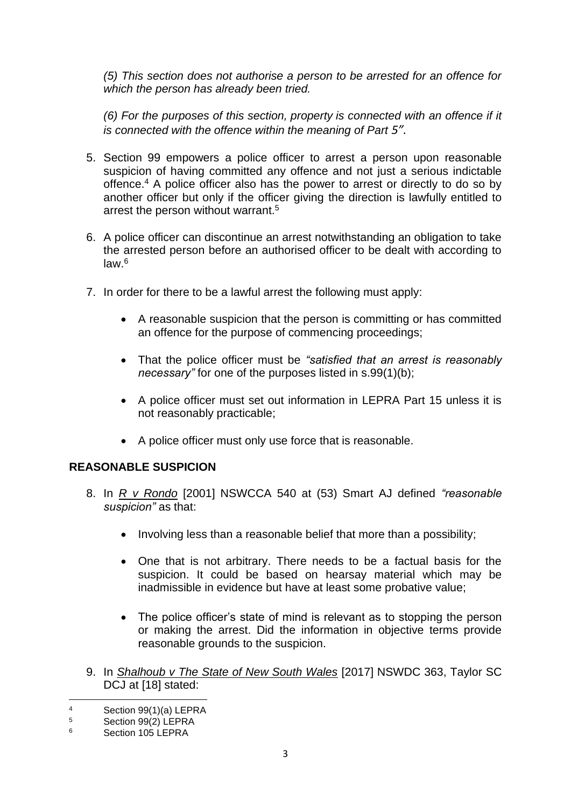*(5) This section does not authorise a person to be arrested for an offence for which the person has already been tried.*

*(6) For the purposes of this section, [property](http://classic.austlii.edu.au/au/legis/nsw/consol_act/leara2002451/s3.html#property) is connected with an offence if it is connected with the offence within the meaning of Part 5".* 

- 5. Section 99 empowers a police officer to arrest a person upon reasonable suspicion of having committed any offence and not just a serious indictable offence.<sup>4</sup> A police officer also has the power to arrest or directly to do so by another officer but only if the officer giving the direction is lawfully entitled to arrest the person without warrant.<sup>5</sup>
- 6. A police officer can discontinue an arrest notwithstanding an obligation to take the arrested person before an authorised officer to be dealt with according to law.<sup>6</sup>
- 7. In order for there to be a lawful arrest the following must apply:
	- A reasonable suspicion that the person is committing or has committed an offence for the purpose of commencing proceedings;
	- That the police officer must be *"satisfied that an arrest is reasonably necessary"* for one of the purposes listed in s.99(1)(b);
	- A police officer must set out information in LEPRA Part 15 unless it is not reasonably practicable;
	- A police officer must only use force that is reasonable.

## **REASONABLE SUSPICION**

- 8. In *R v Rondo* [2001] NSWCCA 540 at (53) Smart AJ defined *"reasonable suspicion"* as that:
	- Involving less than a reasonable belief that more than a possibility;
	- One that is not arbitrary. There needs to be a factual basis for the suspicion. It could be based on hearsay material which may be inadmissible in evidence but have at least some probative value;
	- The police officer's state of mind is relevant as to stopping the person or making the arrest. Did the information in objective terms provide reasonable grounds to the suspicion.
- 9. In *Shalhoub v The State of New South Wales* [2017] NSWDC 363, Taylor SC DCJ at [18] stated:

<sup>4</sup> Section 99(1)(a) LEPRA<br>5 Section 99(2) LEPPA

 $5$  Section 99(2) LEPRA<br>6 Section 105 LEPPA

Section 105 LEPRA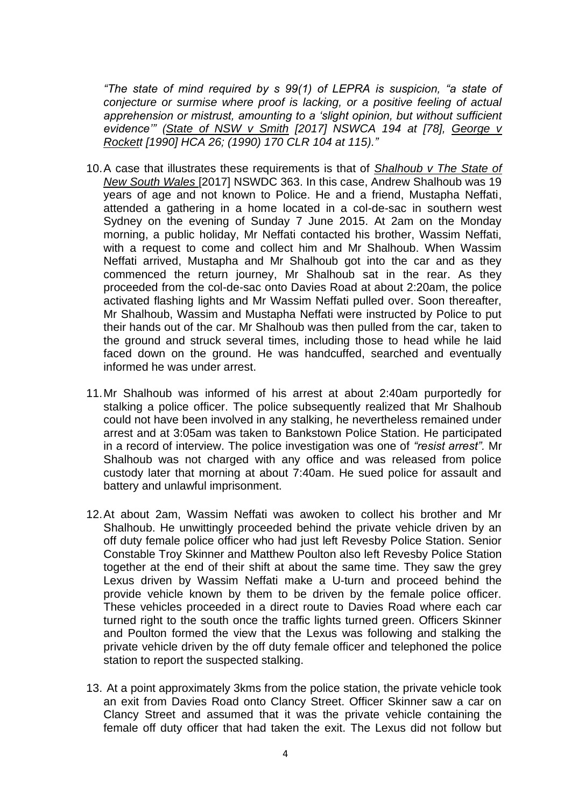*"The state of mind required by s 99(1) of LEPRA is suspicion, "a state of conjecture or surmise where proof is lacking, or a positive feeling of actual apprehension or mistrust, amounting to a 'slight opinion, but without sufficient evidence'" (State of NSW v Smith [\[2017\] NSWCA 194](https://www.austlii.edu.au/cgi-bin/viewdoc/au/cases/nsw/NSWCA/2017/194.html) at [\[78\],](https://www.austlii.edu.au/cgi-bin/viewdoc/au/cases/nsw/NSWCA/2017/194.html#para78) George v Rockett [\[1990\] HCA 26;](https://www.austlii.edu.au/cgi-bin/viewdoc/au/cases/cth/HCA/1990/26.html) [\(1990\) 170 CLR 104](https://www.austlii.edu.au/cgi-bin/LawCite?cit=%281990%29%20170%20CLR%20104) at 115)."*

- 10.A case that illustrates these requirements is that of *Shalhoub v The State of New South Wales* [2017] NSWDC 363. In this case, Andrew Shalhoub was 19 years of age and not known to Police. He and a friend, Mustapha Neffati, attended a gathering in a home located in a col-de-sac in southern west Sydney on the evening of Sunday 7 June 2015. At 2am on the Monday morning, a public holiday, Mr Neffati contacted his brother, Wassim Neffati, with a request to come and collect him and Mr Shalhoub. When Wassim Neffati arrived, Mustapha and Mr Shalhoub got into the car and as they commenced the return journey, Mr Shalhoub sat in the rear. As they proceeded from the col-de-sac onto Davies Road at about 2:20am, the police activated flashing lights and Mr Wassim Neffati pulled over. Soon thereafter, Mr Shalhoub, Wassim and Mustapha Neffati were instructed by Police to put their hands out of the car. Mr Shalhoub was then pulled from the car, taken to the ground and struck several times, including those to head while he laid faced down on the ground. He was handcuffed, searched and eventually informed he was under arrest.
- 11.Mr Shalhoub was informed of his arrest at about 2:40am purportedly for stalking a police officer. The police subsequently realized that Mr Shalhoub could not have been involved in any stalking, he nevertheless remained under arrest and at 3:05am was taken to Bankstown Police Station. He participated in a record of interview. The police investigation was one of *"resist arrest".* Mr Shalhoub was not charged with any office and was released from police custody later that morning at about 7:40am. He sued police for assault and battery and unlawful imprisonment.
- 12.At about 2am, Wassim Neffati was awoken to collect his brother and Mr Shalhoub. He unwittingly proceeded behind the private vehicle driven by an off duty female police officer who had just left Revesby Police Station. Senior Constable Troy Skinner and Matthew Poulton also left Revesby Police Station together at the end of their shift at about the same time. They saw the grey Lexus driven by Wassim Neffati make a U-turn and proceed behind the provide vehicle known by them to be driven by the female police officer. These vehicles proceeded in a direct route to Davies Road where each car turned right to the south once the traffic lights turned green. Officers Skinner and Poulton formed the view that the Lexus was following and stalking the private vehicle driven by the off duty female officer and telephoned the police station to report the suspected stalking.
- 13. At a point approximately 3kms from the police station, the private vehicle took an exit from Davies Road onto Clancy Street. Officer Skinner saw a car on Clancy Street and assumed that it was the private vehicle containing the female off duty officer that had taken the exit. The Lexus did not follow but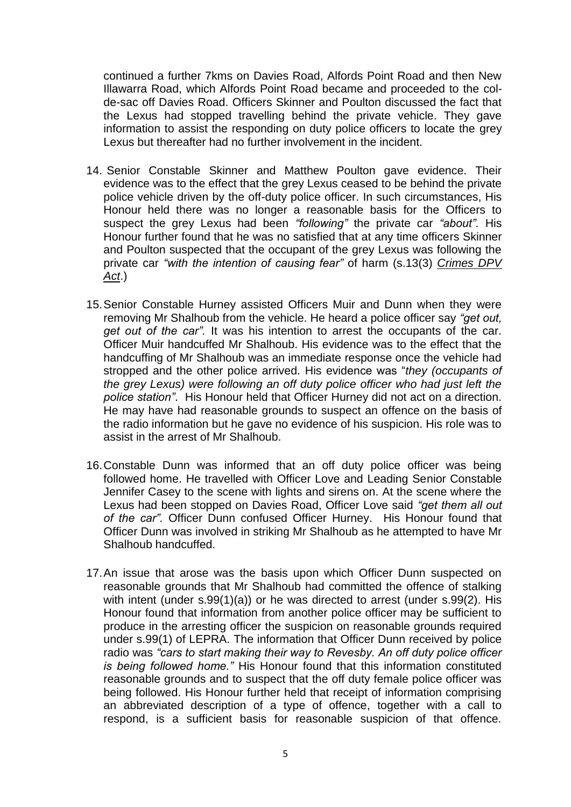continued a further 7kms on Davies Road, Alfords Point Road and then New Illawarra Road, which Alfords Point Road became and proceeded to the colde-sac off Davies Road. Officers Skinner and Poulton discussed the fact that the Lexus had stopped travelling behind the private vehicle. They gave information to assist the responding on duty police officers to locate the grey Lexus but thereafter had no further involvement in the incident.

- 14. Senior Constable Skinner and Matthew Poulton gave evidence. Their evidence was to the effect that the grey Lexus ceased to be behind the private police vehicle driven by the off-duty police officer. In such circumstances, His Honour held there was no longer a reasonable basis for the Officers to suspect the grey Lexus had been *"following"* the private car *"about".* His Honour further found that he was no satisfied that at any time officers Skinner and Poulton suspected that the occupant of the grey Lexus was following the private car *"with the intention of causing fear"* of harm (s.13(3) *Crimes DPV Act*.)
- 15.Senior Constable Hurney assisted Officers Muir and Dunn when they were removing Mr Shalhoub from the vehicle. He heard a police officer say *"get out, get out of the car".* It was his intention to arrest the occupants of the car. Officer Muir handcuffed Mr Shalhoub. His evidence was to the effect that the handcuffing of Mr Shalhoub was an immediate response once the vehicle had stropped and the other police arrived. His evidence was "*they (occupants of the grey Lexus) were following an off duty police officer who had just left the police station"*. His Honour held that Officer Hurney did not act on a direction. He may have had reasonable grounds to suspect an offence on the basis of the radio information but he gave no evidence of his suspicion. His role was to assist in the arrest of Mr Shalhoub.
- 16.Constable Dunn was informed that an off duty police officer was being followed home. He travelled with Officer Love and Leading Senior Constable Jennifer Casey to the scene with lights and sirens on. At the scene where the Lexus had been stopped on Davies Road, Officer Love said *"get them all out of the car".* Officer Dunn confused Officer Hurney. His Honour found that Officer Dunn was involved in striking Mr Shalhoub as he attempted to have Mr Shalhoub handcuffed.
- 17.An issue that arose was the basis upon which Officer Dunn suspected on reasonable grounds that Mr Shalhoub had committed the offence of stalking with intent (under s.99(1)(a)) or he was directed to arrest (under s.99(2). His Honour found that information from another police officer may be sufficient to produce in the arresting officer the suspicion on reasonable grounds required under s.99(1) of LEPRA. The information that Officer Dunn received by police radio was *"cars to start making their way to Revesby. An off duty police officer is being followed home."* His Honour found that this information constituted reasonable grounds and to suspect that the off duty female police officer was being followed. His Honour further held that receipt of information comprising an abbreviated description of a type of offence, together with a call to respond, is a sufficient basis for reasonable suspicion of that offence.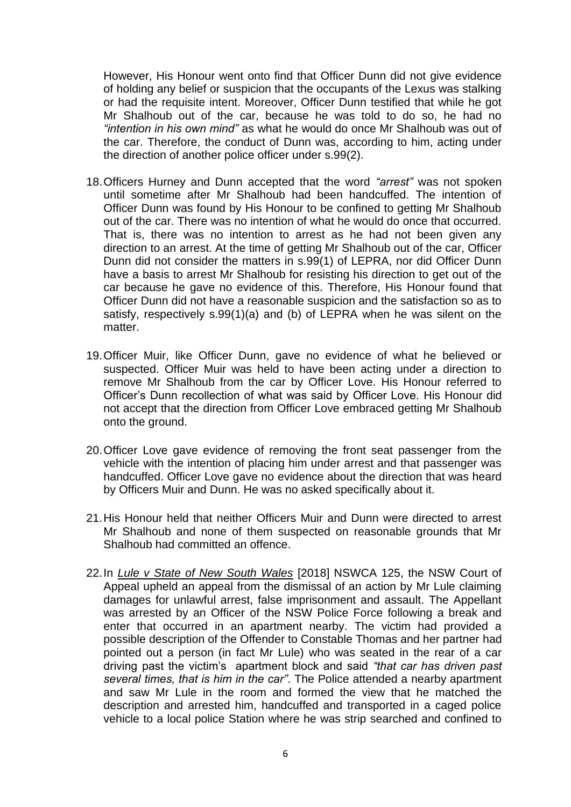However, His Honour went onto find that Officer Dunn did not give evidence of holding any belief or suspicion that the occupants of the Lexus was stalking or had the requisite intent. Moreover, Officer Dunn testified that while he got Mr Shalhoub out of the car, because he was told to do so, he had no *"intention in his own mind"* as what he would do once Mr Shalhoub was out of the car. Therefore, the conduct of Dunn was, according to him, acting under the direction of another police officer under s.99(2).

- 18.Officers Hurney and Dunn accepted that the word *"arrest"* was not spoken until sometime after Mr Shalhoub had been handcuffed. The intention of Officer Dunn was found by His Honour to be confined to getting Mr Shalhoub out of the car. There was no intention of what he would do once that occurred. That is, there was no intention to arrest as he had not been given any direction to an arrest. At the time of getting Mr Shalhoub out of the car, Officer Dunn did not consider the matters in s.99(1) of LEPRA, nor did Officer Dunn have a basis to arrest Mr Shalhoub for resisting his direction to get out of the car because he gave no evidence of this. Therefore, His Honour found that Officer Dunn did not have a reasonable suspicion and the satisfaction so as to satisfy, respectively s.99(1)(a) and (b) of LEPRA when he was silent on the matter.
- 19.Officer Muir, like Officer Dunn, gave no evidence of what he believed or suspected. Officer Muir was held to have been acting under a direction to remove Mr Shalhoub from the car by Officer Love. His Honour referred to Officer's Dunn recollection of what was said by Officer Love. His Honour did not accept that the direction from Officer Love embraced getting Mr Shalhoub onto the ground.
- 20.Officer Love gave evidence of removing the front seat passenger from the vehicle with the intention of placing him under arrest and that passenger was handcuffed. Officer Love gave no evidence about the direction that was heard by Officers Muir and Dunn. He was no asked specifically about it.
- 21.His Honour held that neither Officers Muir and Dunn were directed to arrest Mr Shalhoub and none of them suspected on reasonable grounds that Mr Shalhoub had committed an offence.
- 22.In *Lule v State of New South Wales* [2018] NSWCA 125, the NSW Court of Appeal upheld an appeal from the dismissal of an action by Mr Lule claiming damages for unlawful arrest, false imprisonment and assault. The Appellant was arrested by an Officer of the NSW Police Force following a break and enter that occurred in an apartment nearby. The victim had provided a possible description of the Offender to Constable Thomas and her partner had pointed out a person (in fact Mr Lule) who was seated in the rear of a car driving past the victim's apartment block and said *"that car has driven past several times, that is him in the car"*. The Police attended a nearby apartment and saw Mr Lule in the room and formed the view that he matched the description and arrested him, handcuffed and transported in a caged police vehicle to a local police Station where he was strip searched and confined to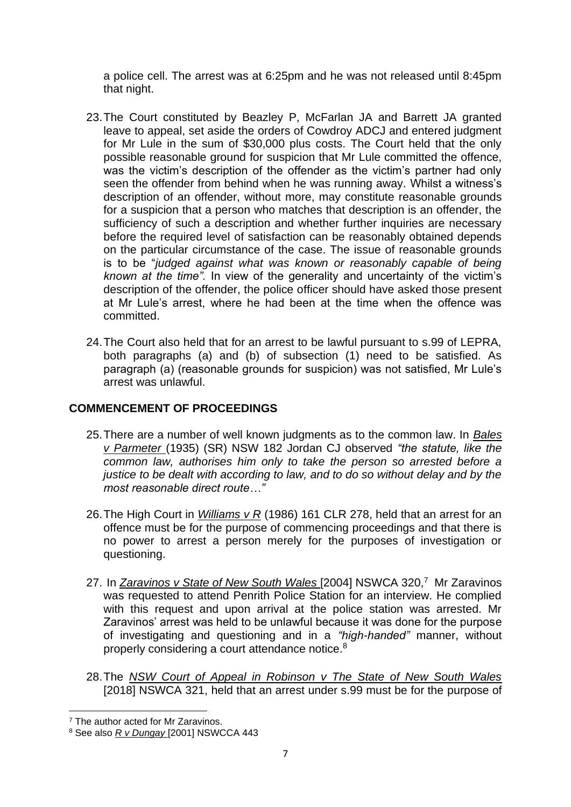a police cell. The arrest was at 6:25pm and he was not released until 8:45pm that night.

- 23.The Court constituted by Beazley P, McFarlan JA and Barrett JA granted leave to appeal, set aside the orders of Cowdroy ADCJ and entered judgment for Mr Lule in the sum of \$30,000 plus costs. The Court held that the only possible reasonable ground for suspicion that Mr Lule committed the offence, was the victim's description of the offender as the victim's partner had only seen the offender from behind when he was running away. Whilst a witness's description of an offender, without more, may constitute reasonable grounds for a suspicion that a person who matches that description is an offender, the sufficiency of such a description and whether further inquiries are necessary before the required level of satisfaction can be reasonably obtained depends on the particular circumstance of the case. The issue of reasonable grounds is to be "*judged against what was known or reasonably capable of being known at the time".* In view of the generality and uncertainty of the victim's description of the offender, the police officer should have asked those present at Mr Lule's arrest, where he had been at the time when the offence was committed.
- 24.The Court also held that for an arrest to be lawful pursuant to s.99 of LEPRA, both paragraphs (a) and (b) of subsection (1) need to be satisfied. As paragraph (a) (reasonable grounds for suspicion) was not satisfied, Mr Lule's arrest was unlawful.

## **COMMENCEMENT OF PROCEEDINGS**

- 25.There are a number of well known judgments as to the common law. In *Bales v Parmeter* (1935) (SR) NSW 182 Jordan CJ observed *"the statute, like the common law, authorises him only to take the person so arrested before a justice to be dealt with according to law, and to do so without delay and by the most reasonable direct route…"*
- 26.The High Court in *Williams v R* (1986) 161 CLR 278, held that an arrest for an offence must be for the purpose of commencing proceedings and that there is no power to arrest a person merely for the purposes of investigation or questioning.
- 27. In Zaravinos v State of New South Wales [2004] NSWCA 320,<sup>7</sup> Mr Zaravinos was requested to attend Penrith Police Station for an interview. He complied with this request and upon arrival at the police station was arrested. Mr Zaravinos' arrest was held to be unlawful because it was done for the purpose of investigating and questioning and in a *"high-handed"* manner, without properly considering a court attendance notice.<sup>8</sup>
- 28.The *NSW Court of Appeal in Robinson v The State of New South Wales* [2018] NSWCA 321, held that an arrest under s.99 must be for the purpose of

<sup>7</sup> The author acted for Mr Zaravinos.

<sup>8</sup> See also *R v Dungay* [2001] NSWCCA 443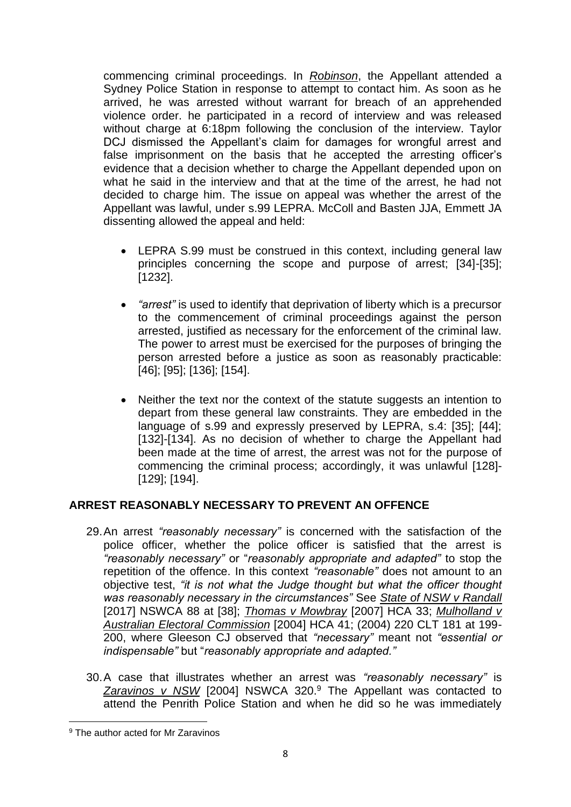commencing criminal proceedings. In *Robinson*, the Appellant attended a Sydney Police Station in response to attempt to contact him. As soon as he arrived, he was arrested without warrant for breach of an apprehended violence order. he participated in a record of interview and was released without charge at 6:18pm following the conclusion of the interview. Taylor DCJ dismissed the Appellant's claim for damages for wrongful arrest and false imprisonment on the basis that he accepted the arresting officer's evidence that a decision whether to charge the Appellant depended upon on what he said in the interview and that at the time of the arrest, he had not decided to charge him. The issue on appeal was whether the arrest of the Appellant was lawful, under s.99 LEPRA. McColl and Basten JJA, Emmett JA dissenting allowed the appeal and held:

- LEPRA S.99 must be construed in this context, including general law principles concerning the scope and purpose of arrest; [34]-[35]; [1232].
- *"arrest"* is used to identify that deprivation of liberty which is a precursor to the commencement of criminal proceedings against the person arrested, justified as necessary for the enforcement of the criminal law. The power to arrest must be exercised for the purposes of bringing the person arrested before a justice as soon as reasonably practicable: [46]; [95]; [136]; [154].
- Neither the text nor the context of the statute suggests an intention to depart from these general law constraints. They are embedded in the language of s.99 and expressly preserved by LEPRA, s.4: [35]; [44]; [132]-[134]. As no decision of whether to charge the Appellant had been made at the time of arrest, the arrest was not for the purpose of commencing the criminal process; accordingly, it was unlawful [128]- [129]; [194].

## **ARREST REASONABLY NECESSARY TO PREVENT AN OFFENCE**

- 29.An arrest *"reasonably necessary"* is concerned with the satisfaction of the police officer, whether the police officer is satisfied that the arrest is *"reasonably necessary"* or "*reasonably appropriate and adapted"* to stop the repetition of the offence. In this context *"reasonable"* does not amount to an objective test, *"it is not what the Judge thought but what the officer thought was reasonably necessary in the circumstances"* See *State of NSW v Randall* [2017] NSWCA 88 at [38]; *Thomas v Mowbray* [2007] HCA 33; *Mulholland v Australian Electoral Commission* [2004] HCA 41; (2004) 220 CLT 181 at 199- 200, where Gleeson CJ observed that *"necessary"* meant not *"essential or indispensable"* but "*reasonably appropriate and adapted."*
- 30.A case that illustrates whether an arrest was *"reasonably necessary"* is *Zaravinos v NSW* [2004] NSWCA 320.<sup>9</sup> The Appellant was contacted to attend the Penrith Police Station and when he did so he was immediately

<sup>9</sup> The author acted for Mr Zaravinos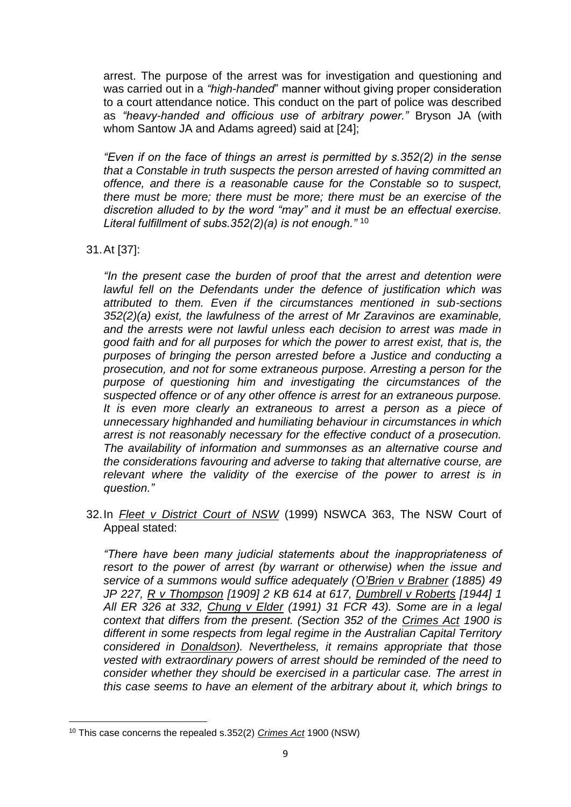arrest. The purpose of the arrest was for investigation and questioning and was carried out in a *"high-handed*" manner without giving proper consideration to a court attendance notice. This conduct on the part of police was described as *"heavy-handed and officious use of arbitrary power."* Bryson JA (with whom Santow JA and Adams agreed) said at [24];

*"Even if on the face of things an arrest is permitted by s.352(2) in the sense that a Constable in truth suspects the person arrested of having committed an offence, and there is a reasonable cause for the Constable so to suspect, there must be more; there must be more; there must be an exercise of the discretion alluded to by the word "may" and it must be an effectual exercise. Literal fulfillment of subs.352(2)(a) is not enough."* <sup>10</sup>

31.At [37]:

*"In the present case the burden of proof that the arrest and detention were lawful fell on the Defendants under the defence of justification which was attributed to them. Even if the circumstances mentioned in sub-sections 352(2)(a) exist, the lawfulness of the arrest of Mr Zaravinos are examinable, and the arrests were not lawful unless each decision to arrest was made in good faith and for all purposes for which the power to arrest exist, that is, the purposes of bringing the person arrested before a Justice and conducting a prosecution, and not for some extraneous purpose. Arresting a person for the purpose of questioning him and investigating the circumstances of the suspected offence or of any other offence is arrest for an extraneous purpose. It is even more clearly an extraneous to arrest a person as a piece of unnecessary highhanded and humiliating behaviour in circumstances in which arrest is not reasonably necessary for the effective conduct of a prosecution. The availability of information and summonses as an alternative course and the considerations favouring and adverse to taking that alternative course, are relevant where the validity of the exercise of the power to arrest is in question."*

32.In *Fleet v District Court of NSW* (1999) NSWCA 363, The NSW Court of Appeal stated:

*"There have been many judicial statements about the inappropriateness of resort to the power of arrest (by warrant or otherwise) when the issue and service of a summons would suffice adequately (O'Brien v Brabner (1885) 49 JP 227, R v Thompson [1909] 2 KB 614 at 617, Dumbrell v Roberts [1944] 1 All ER 326 at 332, Chung v Elder (1991) 31 FCR 43). Some are in a legal context that differs from the present. (Section 352 of the Crimes Act 1900 is different in some respects from legal regime in the Australian Capital Territory considered in Donaldson). Nevertheless, it remains appropriate that those vested with extraordinary powers of arrest should be reminded of the need to consider whether they should be exercised in a particular case. The arrest in this case seems to have an element of the arbitrary about it, which brings to* 

<sup>10</sup> This case concerns the repealed s.352(2) *Crimes Act* 1900 (NSW)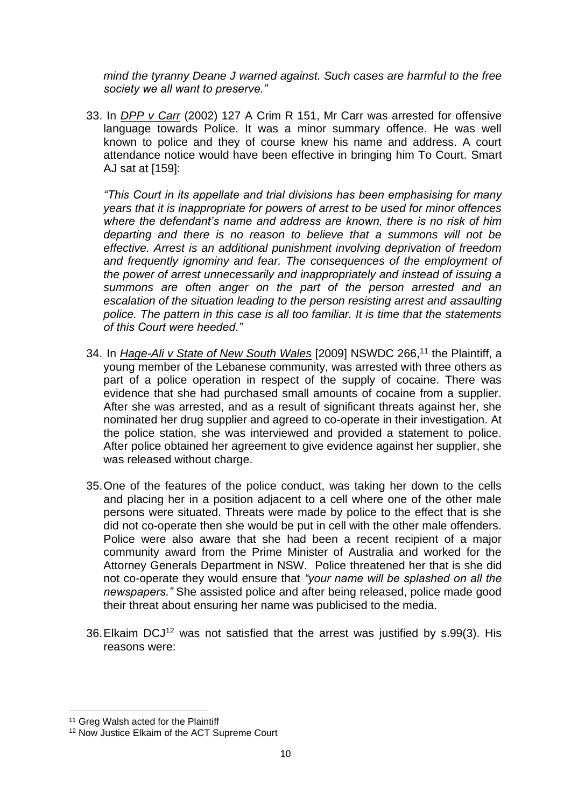*mind the tyranny Deane J warned against. Such cases are harmful to the free society we all want to preserve."*

33. In *DPP v Carr* (2002) 127 A Crim R 151, Mr Carr was arrested for offensive language towards Police. It was a minor summary offence. He was well known to police and they of course knew his name and address. A court attendance notice would have been effective in bringing him To Court. Smart AJ sat at [159]:

*"This Court in its appellate and trial divisions has been emphasising for many years that it is inappropriate for powers of arrest to be used for minor offences where the defendant's name and address are known, there is no risk of him departing and there is no reason to believe that a summons will not be effective. Arrest is an additional punishment involving deprivation of freedom and frequently ignominy and fear. The consequences of the employment of the power of arrest unnecessarily and inappropriately and instead of issuing a summons are often anger on the part of the person arrested and an escalation of the situation leading to the person resisting arrest and assaulting police. The pattern in this case is all too familiar. It is time that the statements of this Court were heeded."*

- 34. In *Hage-Ali v State of New South Wales* [2009] NSWDC 266,<sup>11</sup> the Plaintiff, a young member of the Lebanese community, was arrested with three others as part of a police operation in respect of the supply of cocaine. There was evidence that she had purchased small amounts of cocaine from a supplier. After she was arrested, and as a result of significant threats against her, she nominated her drug supplier and agreed to co-operate in their investigation. At the police station, she was interviewed and provided a statement to police. After police obtained her agreement to give evidence against her supplier, she was released without charge.
- 35.One of the features of the police conduct, was taking her down to the cells and placing her in a position adjacent to a cell where one of the other male persons were situated. Threats were made by police to the effect that is she did not co-operate then she would be put in cell with the other male offenders. Police were also aware that she had been a recent recipient of a major community award from the Prime Minister of Australia and worked for the Attorney Generals Department in NSW. Police threatened her that is she did not co-operate they would ensure that *"your name will be splashed on all the newspapers."* She assisted police and after being released, police made good their threat about ensuring her name was publicised to the media.
- 36. Elkaim DCJ<sup>12</sup> was not satisfied that the arrest was justified by s.99(3). His reasons were:

<sup>&</sup>lt;sup>11</sup> Greg Walsh acted for the Plaintiff

<sup>12</sup> Now Justice Elkaim of the ACT Supreme Court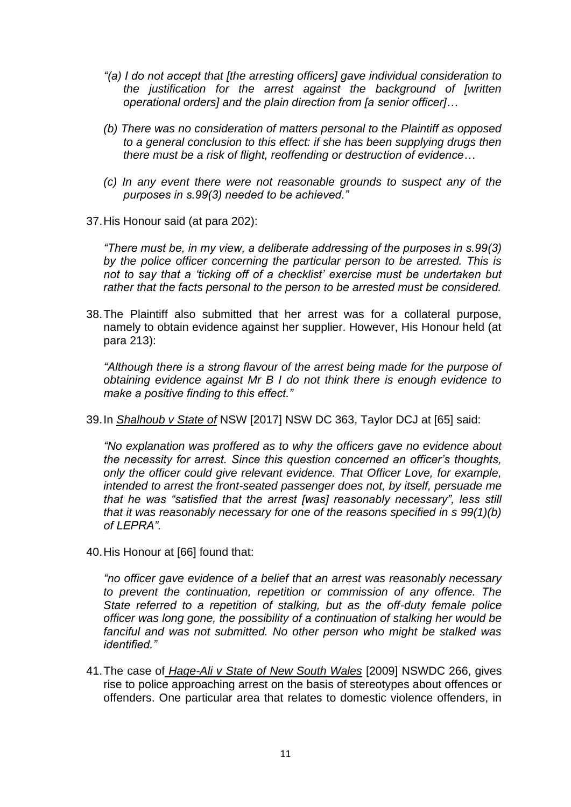- *"(a) I do not accept that [the arresting officers] gave individual consideration to the justification for the arrest against the background of [written operational orders] and the plain direction from [a senior officer]…*
- *(b) There was no consideration of matters personal to the Plaintiff as opposed to a general conclusion to this effect: if she has been supplying drugs then there must be a risk of flight, reoffending or destruction of evidence…*
- *(c) In any event there were not reasonable grounds to suspect any of the purposes in s.99(3) needed to be achieved."*
- 37.His Honour said (at para 202):

*"There must be, in my view, a deliberate addressing of the purposes in s.99(3) by the police officer concerning the particular person to be arrested. This is not to say that a 'ticking off of a checklist' exercise must be undertaken but rather that the facts personal to the person to be arrested must be considered.*

38.The Plaintiff also submitted that her arrest was for a collateral purpose, namely to obtain evidence against her supplier. However, His Honour held (at para 213):

*"Although there is a strong flavour of the arrest being made for the purpose of obtaining evidence against Mr B I do not think there is enough evidence to make a positive finding to this effect."*

39.In *Shalhoub v State of* NSW [2017] NSW DC 363, Taylor DCJ at [65] said:

*"No explanation was proffered as to why the officers gave no evidence about the necessity for arrest. Since this question concerned an officer's thoughts, only the officer could give relevant evidence. That Officer Love, for example, intended to arrest the front-seated passenger does not, by itself, persuade me that he was "satisfied that the arrest [was] reasonably necessary", less still that it was reasonably necessary for one of the reasons specified in s 99(1)(b) of LEPRA".*

40.His Honour at [66] found that:

*"no officer gave evidence of a belief that an arrest was reasonably necessary to prevent the continuation, repetition or commission of any offence. The State referred to a repetition of stalking, but as the off-duty female police officer was long gone, the possibility of a continuation of stalking her would be fanciful and was not submitted. No other person who might be stalked was identified."*

41.The case of *Hage-Ali v State of New South Wales* [2009] NSWDC 266, gives rise to police approaching arrest on the basis of stereotypes about offences or offenders. One particular area that relates to domestic violence offenders, in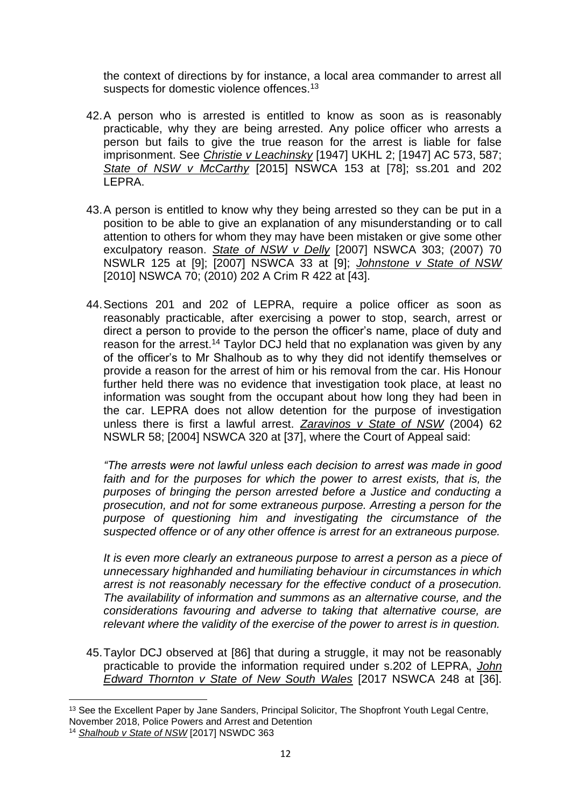the context of directions by for instance, a local area commander to arrest all suspects for domestic violence offences.<sup>13</sup>

- 42.A person who is arrested is entitled to know as soon as is reasonably practicable, why they are being arrested. Any police officer who arrests a person but fails to give the true reason for the arrest is liable for false imprisonment. See *Christie v Leachinsky* [1947] UKHL 2; [1947] AC 573, 587; *State of NSW v McCarthy* [2015] NSWCA 153 at [78]; ss.201 and 202 LEPRA.
- 43.A person is entitled to know why they being arrested so they can be put in a position to be able to give an explanation of any misunderstanding or to call attention to others for whom they may have been mistaken or give some other exculpatory reason. *State of NSW v Delly* [2007] NSWCA 303; (2007) 70 NSWLR 125 at [9]; [2007] NSWCA 33 at [9]; *Johnstone v State of NSW* [2010] NSWCA 70; (2010) 202 A Crim R 422 at [43].
- 44.Sections 201 and 202 of LEPRA, require a police officer as soon as reasonably practicable, after exercising a power to stop, search, arrest or direct a person to provide to the person the officer's name, place of duty and reason for the arrest.<sup>14</sup> Taylor DCJ held that no explanation was given by any of the officer's to Mr Shalhoub as to why they did not identify themselves or provide a reason for the arrest of him or his removal from the car. His Honour further held there was no evidence that investigation took place, at least no information was sought from the occupant about how long they had been in the car. LEPRA does not allow detention for the purpose of investigation unless there is first a lawful arrest. *Zaravinos v State of NSW* (2004) 62 NSWLR 58; [2004] NSWCA 320 at [37], where the Court of Appeal said:

*"The arrests were not lawful unless each decision to arrest was made in good*  faith and for the purposes for which the power to arrest exists, that is, the *purposes of bringing the person arrested before a Justice and conducting a prosecution, and not for some extraneous purpose. Arresting a person for the purpose of questioning him and investigating the circumstance of the suspected offence or of any other offence is arrest for an extraneous purpose.*

*It is even more clearly an extraneous purpose to arrest a person as a piece of unnecessary highhanded and humiliating behaviour in circumstances in which arrest is not reasonably necessary for the effective conduct of a prosecution. The availability of information and summons as an alternative course, and the considerations favouring and adverse to taking that alternative course, are relevant where the validity of the exercise of the power to arrest is in question.*

45.Taylor DCJ observed at [86] that during a struggle, it may not be reasonably practicable to provide the information required under s.202 of LEPRA, *John Edward Thornton v State of New South Wales* [2017 NSWCA 248 at [36].

<sup>&</sup>lt;sup>13</sup> See the Excellent Paper by Jane Sanders, Principal Solicitor, The Shopfront Youth Legal Centre, November 2018, Police Powers and Arrest and Detention

<sup>14</sup> *Shalhoub v State of NSW* [2017] NSWDC 363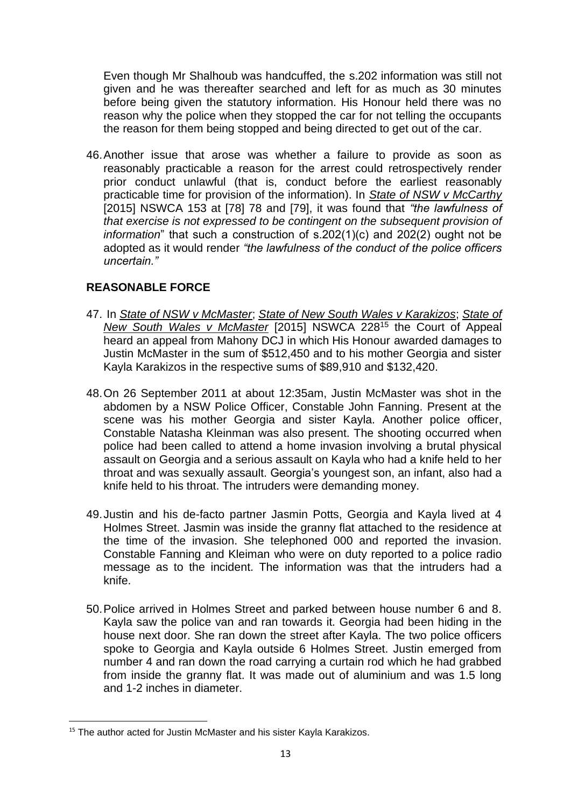Even though Mr Shalhoub was handcuffed, the s.202 information was still not given and he was thereafter searched and left for as much as 30 minutes before being given the statutory information. His Honour held there was no reason why the police when they stopped the car for not telling the occupants the reason for them being stopped and being directed to get out of the car.

46.Another issue that arose was whether a failure to provide as soon as reasonably practicable a reason for the arrest could retrospectively render prior conduct unlawful (that is, conduct before the earliest reasonably practicable time for provision of the information). In *State of NSW v McCarthy* [2015] NSWCA 153 at [78] 78 and [79], it was found that *"the lawfulness of that exercise is not expressed to be contingent on the subsequent provision of information*" that such a construction of s.202(1)(c) and 202(2) ought not be adopted as it would render *"the lawfulness of the conduct of the police officers uncertain."*

## **REASONABLE FORCE**

- 47. In *State of NSW v McMaster*; *State of New South Wales v Karakizos*; *State of New South Wales v McMaster* [2015] NSWCA 228<sup>15</sup> the Court of Appeal heard an appeal from Mahony DCJ in which His Honour awarded damages to Justin McMaster in the sum of \$512,450 and to his mother Georgia and sister Kayla Karakizos in the respective sums of \$89,910 and \$132,420.
- 48.On 26 September 2011 at about 12:35am, Justin McMaster was shot in the abdomen by a NSW Police Officer, Constable John Fanning. Present at the scene was his mother Georgia and sister Kayla. Another police officer, Constable Natasha Kleinman was also present. The shooting occurred when police had been called to attend a home invasion involving a brutal physical assault on Georgia and a serious assault on Kayla who had a knife held to her throat and was sexually assault. Georgia's youngest son, an infant, also had a knife held to his throat. The intruders were demanding money.
- 49.Justin and his de-facto partner Jasmin Potts, Georgia and Kayla lived at 4 Holmes Street. Jasmin was inside the granny flat attached to the residence at the time of the invasion. She telephoned 000 and reported the invasion. Constable Fanning and Kleiman who were on duty reported to a police radio message as to the incident. The information was that the intruders had a knife.
- 50.Police arrived in Holmes Street and parked between house number 6 and 8. Kayla saw the police van and ran towards it. Georgia had been hiding in the house next door. She ran down the street after Kayla. The two police officers spoke to Georgia and Kayla outside 6 Holmes Street. Justin emerged from number 4 and ran down the road carrying a curtain rod which he had grabbed from inside the granny flat. It was made out of aluminium and was 1.5 long and 1-2 inches in diameter.

<sup>&</sup>lt;sup>15</sup> The author acted for Justin McMaster and his sister Kayla Karakizos.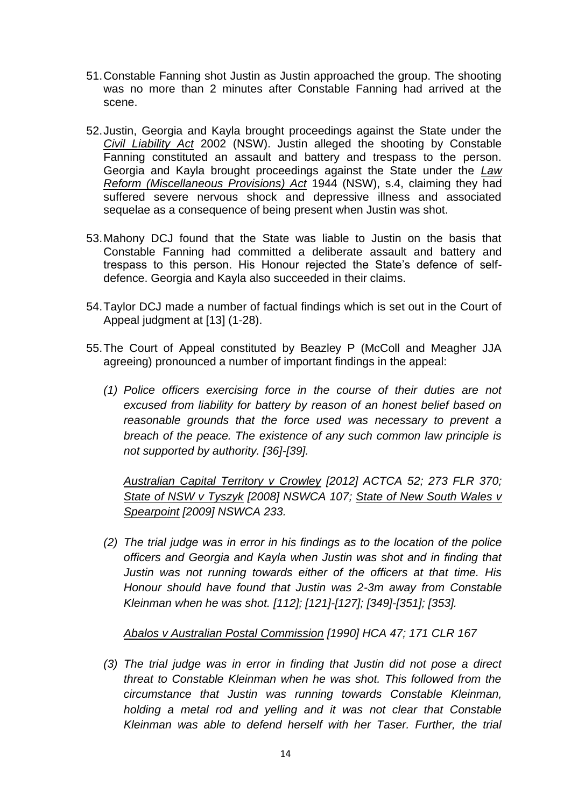- 51.Constable Fanning shot Justin as Justin approached the group. The shooting was no more than 2 minutes after Constable Fanning had arrived at the scene.
- 52.Justin, Georgia and Kayla brought proceedings against the State under the *Civil Liability Act* 2002 (NSW). Justin alleged the shooting by Constable Fanning constituted an assault and battery and trespass to the person. Georgia and Kayla brought proceedings against the State under the *Law Reform (Miscellaneous Provisions) Act* 1944 (NSW), s.4, claiming they had suffered severe nervous shock and depressive illness and associated sequelae as a consequence of being present when Justin was shot.
- 53.Mahony DCJ found that the State was liable to Justin on the basis that Constable Fanning had committed a deliberate assault and battery and trespass to this person. His Honour rejected the State's defence of selfdefence. Georgia and Kayla also succeeded in their claims.
- 54.Taylor DCJ made a number of factual findings which is set out in the Court of Appeal judgment at [13] (1-28).
- 55.The Court of Appeal constituted by Beazley P (McColl and Meagher JJA agreeing) pronounced a number of important findings in the appeal:
	- *(1) Police officers exercising force in the course of their duties are not excused from liability for battery by reason of an honest belief based on reasonable grounds that the force used was necessary to prevent a breach of the peace. The existence of any such common law principle is not supported by authority. [36]-[39].*

*Australian Capital Territory v Crowley [\[2012\] ACTCA 52;](https://www.austlii.edu.au/cgi-bin/viewdoc/au/cases/act/ACTCA/2012/52.html) 273 FLR 370; State of NSW v Tyszyk [\[2008\] NSWCA 107;](https://www.austlii.edu.au/cgi-bin/viewdoc/au/cases/nsw/NSWCA/2008/107.html) State of New South Wales v Spearpoint [\[2009\] NSWCA 233.](https://www.austlii.edu.au/cgi-bin/viewdoc/au/cases/nsw/NSWCA/2009/233.html)*

*(2) The trial judge was in error in his findings as to the location of the police officers and Georgia and Kayla when Justin was shot and in finding that Justin was not running towards either of the officers at that time. His Honour should have found that Justin was 2-3m away from Constable Kleinman when he was shot. [112]; [121]-[127]; [349]-[351]; [353].*

*Abalos v Australian Postal Commission [\[1990\] HCA 47;](https://www.austlii.edu.au/cgi-bin/viewdoc/au/cases/cth/HCA/1990/47.html) [171 CLR 167](https://www.austlii.edu.au/cgi-bin/LawCite?cit=171%20CLR%20167)*

*(3) The trial judge was in error in finding that Justin did not pose a direct threat to Constable Kleinman when he was shot. This followed from the circumstance that Justin was running towards Constable Kleinman, holding a metal rod and yelling and it was not clear that Constable Kleinman was able to defend herself with her Taser. Further, the trial*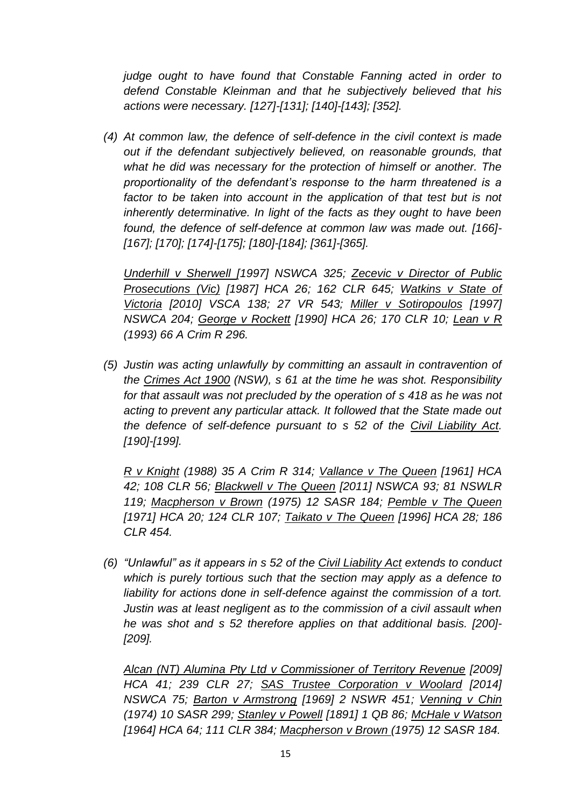*judge ought to have found that Constable Fanning acted in order to defend Constable Kleinman and that he subjectively believed that his actions were necessary. [127]-[131]; [140]-[143]; [352].*

*(4) At common law, the defence of self-defence in the civil context is made out if the defendant subjectively believed, on reasonable grounds, that what he did was necessary for the protection of himself or another. The proportionality of the defendant's response to the harm threatened is a*  factor to be taken into account in the application of that test but is not *inherently determinative. In light of the facts as they ought to have been found, the defence of self-defence at common law was made out. [166]- [167]; [170]; [174]-[175]; [180]-[184]; [361]-[365].*

*Underhill v Sherwell [\[1997\] NSWCA 325;](https://www.austlii.edu.au/cgi-bin/LawCite?cit=%5b1997%5d%20NSWCA%20325) Zecevic v Director of Public Prosecutions (Vic) [\[1987\] HCA 26;](https://www.austlii.edu.au/cgi-bin/viewdoc/au/cases/cth/HCA/1987/26.html) [162 CLR 645;](https://www.austlii.edu.au/cgi-bin/LawCite?cit=162%20CLR%20645) Watkins v State of Victoria [\[2010\] VSCA 138;](https://www.austlii.edu.au/cgi-bin/viewdoc/au/cases/vic/VSCA/2010/138.html) 27 VR 543; Miller v Sotiropoulos [\[1997\]](https://www.austlii.edu.au/cgi-bin/LawCite?cit=%5b1997%5d%20NSWCA%20204)  [NSWCA 204;](https://www.austlii.edu.au/cgi-bin/LawCite?cit=%5b1997%5d%20NSWCA%20204) George v Rockett [\[1990\] HCA 26;](https://www.austlii.edu.au/cgi-bin/viewdoc/au/cases/cth/HCA/1990/26.html) [170 CLR 10;](https://www.austlii.edu.au/cgi-bin/LawCite?cit=170%20CLR%2010) Lean v R [\(1993\) 66 A Crim R 296.](https://www.austlii.edu.au/cgi-bin/LawCite?cit=%281993%29%2066%20A%20Crim%20R%20296)*

*(5) Justin was acting unlawfully by committing an assault in contravention of the [Crimes Act 1900](https://www.austlii.edu.au/cgi-bin/viewdoc/au/legis/nsw/consol_act/ca190082/) (NSW), [s 61](https://www.austlii.edu.au/cgi-bin/viewdoc/au/legis/nsw/consol_act/ca190082/s61.html) at the time he was shot. Responsibility for that assault was not precluded by the operation of [s 418](https://www.austlii.edu.au/cgi-bin/viewdoc/au/legis/nsw/consol_act/ca190082/s418.html) as he was not acting to prevent any particular attack. It followed that the State made out the defence of self-defence pursuant to [s 52](https://www.austlii.edu.au/cgi-bin/viewdoc/au/legis/nsw/consol_act/cla2002161/s52.html) of the [Civil Liability Act.](https://www.austlii.edu.au/cgi-bin/viewdoc/au/legis/nsw/consol_act/cla2002161/) [190]-[199].*

*R v Knight [\(1988\) 35 A Crim R 314;](https://www.austlii.edu.au/cgi-bin/LawCite?cit=%281988%29%2035%20A%20Crim%20R%20314) Vallance v The Queen [\[1961\] HCA](https://www.austlii.edu.au/cgi-bin/viewdoc/au/cases/cth/HCA/1961/42.html)  [42;](https://www.austlii.edu.au/cgi-bin/viewdoc/au/cases/cth/HCA/1961/42.html) [108 CLR 56;](https://www.austlii.edu.au/cgi-bin/LawCite?cit=108%20CLR%2056) Blackwell v The Queen [\[2011\] NSWCA 93;](https://www.austlii.edu.au/cgi-bin/viewdoc/au/cases/nsw/NSWCA/2011/93.html) [81 NSWLR](https://www.austlii.edu.au/cgi-bin/LawCite?cit=81%20NSWLR%20119)  [119;](https://www.austlii.edu.au/cgi-bin/LawCite?cit=81%20NSWLR%20119) Macpherson v Brown [\(1975\) 12 SASR 184;](https://www.austlii.edu.au/cgi-bin/LawCite?cit=%281975%29%2012%20SASR%20184) Pemble v The Queen [\[1971\] HCA 20;](https://www.austlii.edu.au/cgi-bin/viewdoc/au/cases/cth/HCA/1971/20.html) [124 CLR 107;](https://www.austlii.edu.au/cgi-bin/LawCite?cit=124%20CLR%20107) Taikato v The Queen [\[1996\] HCA 28;](https://www.austlii.edu.au/cgi-bin/viewdoc/au/cases/cth/HCA/1996/28.html) [186](https://www.austlii.edu.au/cgi-bin/LawCite?cit=186%20CLR%20454)  [CLR 454.](https://www.austlii.edu.au/cgi-bin/LawCite?cit=186%20CLR%20454)*

*(6) "Unlawful" as it appears in [s 52](https://www.austlii.edu.au/cgi-bin/viewdoc/au/legis/nsw/consol_act/cla2002161/s52.html) of the [Civil Liability Act](https://www.austlii.edu.au/cgi-bin/viewdoc/au/legis/nsw/consol_act/cla2002161/) extends to conduct which is purely tortious such that the section may apply as a defence to*  liability for actions done in self-defence against the commission of a tort. *Justin was at least negligent as to the commission of a civil assault when he was shot and [s 52](https://www.austlii.edu.au/cgi-bin/viewdoc/au/legis/nsw/consol_act/cla2002161/s52.html) therefore applies on that additional basis. [200]- [209].*

*Alcan (NT) Alumina Pty Ltd v Commissioner of Territory Revenue [\[2009\]](https://www.austlii.edu.au/cgi-bin/viewdoc/au/cases/cth/HCA/2009/41.html)  [HCA 41;](https://www.austlii.edu.au/cgi-bin/viewdoc/au/cases/cth/HCA/2009/41.html) [239 CLR 27;](https://www.austlii.edu.au/cgi-bin/LawCite?cit=239%20CLR%2027) SAS Trustee Corporation v Woolard [\[2014\]](https://www.austlii.edu.au/cgi-bin/viewdoc/au/cases/nsw/NSWCA/2014/75.html)  [NSWCA 75;](https://www.austlii.edu.au/cgi-bin/viewdoc/au/cases/nsw/NSWCA/2014/75.html) Barton v Armstrong [\[1969\] 2 NSWR 451;](https://www.austlii.edu.au/cgi-bin/LawCite?cit=%5b1969%5d%202%20NSWR%20451) Venning v Chin [\(1974\) 10 SASR 299;](https://www.austlii.edu.au/cgi-bin/LawCite?cit=%281974%29%2010%20SASR%20299) Stanley v Powell [\[1891\] 1 QB 86;](https://www.austlii.edu.au/cgi-bin/LawCite?cit=%5b1891%5d%201%20QB%2086) McHale v Watson [\[1964\] HCA 64;](https://www.austlii.edu.au/cgi-bin/viewdoc/au/cases/cth/HCA/1964/64.html) [111 CLR 384;](https://www.austlii.edu.au/cgi-bin/LawCite?cit=111%20CLR%20384) Macpherson v Brown [\(1975\) 12 SASR 184.](https://www.austlii.edu.au/cgi-bin/LawCite?cit=%281975%29%2012%20SASR%20184)*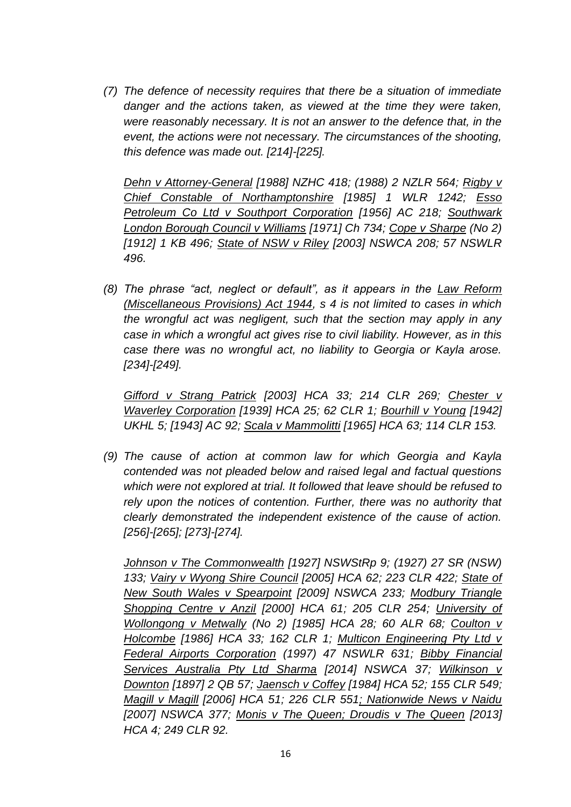*(7) The defence of necessity requires that there be a situation of immediate danger and the actions taken, as viewed at the time they were taken, were reasonably necessary. It is not an answer to the defence that, in the event, the actions were not necessary. The circumstances of the shooting, this defence was made out. [214]-[225].*

*Dehn v Attorney-General [\[1988\] NZHC 418;](http://www.nzlii.org/nz/cases/NZHC/1988/418.html) [\(1988\) 2 NZLR 564;](https://www.austlii.edu.au/cgi-bin/LawCite?cit=%281988%29%202%20NZLR%20564) Rigby v Chief Constable of Northamptonshire [\[1985\] 1 WLR 1242;](https://www.austlii.edu.au/cgi-bin/LawCite?cit=%5b1985%5d%201%20WLR%201242) Esso Petroleum Co Ltd v Southport Corporation [\[1956\] AC 218;](https://www.austlii.edu.au/cgi-bin/LawCite?cit=%5b1956%5d%20AC%20218) Southwark London Borough Council v Williams [\[1971\] Ch 734;](https://www.austlii.edu.au/cgi-bin/LawCite?cit=%5b1971%5d%20Ch%20734) Cope v Sharpe (No 2) [\[1912\] 1 KB 496;](https://www.austlii.edu.au/cgi-bin/LawCite?cit=%5b1912%5d%201%20KB%20496) State of NSW v Riley [\[2003\] NSWCA 208;](https://www.austlii.edu.au/cgi-bin/viewdoc/au/cases/nsw/NSWCA/2003/208.html) [57 NSWLR](https://www.austlii.edu.au/cgi-bin/LawCite?cit=57%20NSWLR%20496)  [496.](https://www.austlii.edu.au/cgi-bin/LawCite?cit=57%20NSWLR%20496)*

*(8) The phrase "act, neglect or default", as it appears in the [Law Reform](https://www.austlii.edu.au/cgi-bin/viewdoc/au/legis/nsw/consol_act/lrpa1944404/)  [\(Miscellaneous Provisions\) Act 1944,](https://www.austlii.edu.au/cgi-bin/viewdoc/au/legis/nsw/consol_act/lrpa1944404/) s 4 is not limited to cases in which the wrongful act was negligent, such that the section may apply in any case in which a wrongful act gives rise to civil liability. However, as in this case there was no wrongful act, no liability to Georgia or Kayla arose. [234]-[249].*

*Gifford v Strang Patrick [\[2003\] HCA 33;](https://www.austlii.edu.au/cgi-bin/LawCite?cit=%5b2003%5d%20HCA%2033) [214 CLR 269;](https://www.austlii.edu.au/cgi-bin/LawCite?cit=214%20CLR%20269) Chester v Waverley Corporation [\[1939\] HCA 25;](https://www.austlii.edu.au/cgi-bin/viewdoc/au/cases/cth/HCA/1939/25.html) [62 CLR 1;](https://www.austlii.edu.au/cgi-bin/LawCite?cit=62%20CLR%201) Bourhill v Young [\[1942\]](http://www.bailii.org/uk/cases/UKHL/1942/5.html)  [UKHL 5;](http://www.bailii.org/uk/cases/UKHL/1942/5.html) [\[1943\] AC 92;](https://www.austlii.edu.au/cgi-bin/LawCite?cit=%5b1943%5d%20AC%2092) Scala v Mammolitti [\[1965\] HCA 63;](https://www.austlii.edu.au/cgi-bin/viewdoc/au/cases/cth/HCA/1965/63.html) [114 CLR 153.](https://www.austlii.edu.au/cgi-bin/LawCite?cit=114%20CLR%20153)*

*(9) The cause of action at common law for which Georgia and Kayla contended was not pleaded below and raised legal and factual questions which were not explored at trial. It followed that leave should be refused to rely upon the notices of contention. Further, there was no authority that clearly demonstrated the independent existence of the cause of action. [256]-[265]; [273]-[274].*

*Johnson v The Commonwealth [\[1927\] NSWStRp 9;](https://www.austlii.edu.au/cgi-bin/viewdoc/au/cases/nsw/NSWStRp/1927/9.html) [\(1927\) 27 SR \(NSW\)](https://www.austlii.edu.au/cgi-bin/LawCite?cit=%281927%29%2027%20SR%20%28NSW%29%20133)  [133;](https://www.austlii.edu.au/cgi-bin/LawCite?cit=%281927%29%2027%20SR%20%28NSW%29%20133) Vairy v Wyong Shire Council [\[2005\] HCA 62;](https://www.austlii.edu.au/cgi-bin/viewdoc/au/cases/cth/HCA/2005/62.html) [223 CLR 422;](https://www.austlii.edu.au/cgi-bin/LawCite?cit=223%20CLR%20422) State of New South Wales v Spearpoint [\[2009\] NSWCA 233;](https://www.austlii.edu.au/cgi-bin/viewdoc/au/cases/nsw/NSWCA/2009/233.html) Modbury Triangle Shopping Centre v Anzil [\[2000\] HCA 61;](https://www.austlii.edu.au/cgi-bin/viewdoc/au/cases/cth/HCA/2000/61.html) [205 CLR 254;](https://www.austlii.edu.au/cgi-bin/LawCite?cit=205%20CLR%20254) University of Wollongong v Metwally (No 2) [\[1985\] HCA 28;](https://www.austlii.edu.au/cgi-bin/viewdoc/au/cases/cth/HCA/1985/28.html) [60 ALR 68;](https://www.austlii.edu.au/cgi-bin/LawCite?cit=60%20ALR%2068) Coulton v Holcombe [\[1986\] HCA 33;](https://www.austlii.edu.au/cgi-bin/viewdoc/au/cases/cth/HCA/1986/33.html) [162 CLR 1;](https://www.austlii.edu.au/cgi-bin/LawCite?cit=162%20CLR%201) Multicon Engineering Pty Ltd v Federal Airports Corporation [\(1997\) 47 NSWLR 631;](https://www.austlii.edu.au/cgi-bin/LawCite?cit=%281997%29%2047%20NSWLR%20631) Bibby Financial Services Australia Pty Ltd Sharma [\[2014\] NSWCA 37;](https://www.austlii.edu.au/cgi-bin/viewdoc/au/cases/nsw/NSWCA/2014/37.html) Wilkinson v Downton [\[1897\] 2 QB 57;](https://www.austlii.edu.au/cgi-bin/LawCite?cit=%5b1897%5d%202%20QB%2057) Jaensch v Coffey [\[1984\] HCA 52;](https://www.austlii.edu.au/cgi-bin/viewdoc/au/cases/cth/HCA/1984/52.html) [155 CLR 549;](https://www.austlii.edu.au/cgi-bin/LawCite?cit=155%20CLR%20549) Magill v Magill [\[2006\] HCA 51;](https://www.austlii.edu.au/cgi-bin/viewdoc/au/cases/cth/HCA/2006/51.html) [226 CLR 551;](https://www.austlii.edu.au/cgi-bin/LawCite?cit=226%20CLR%20551) Nationwide News v Naidu [\[2007\] NSWCA 377;](https://www.austlii.edu.au/cgi-bin/viewdoc/au/cases/nsw/NSWCA/2007/377.html) Monis v The Queen; Droudis v The Queen [2013] HCA 4; 249 CLR 92.*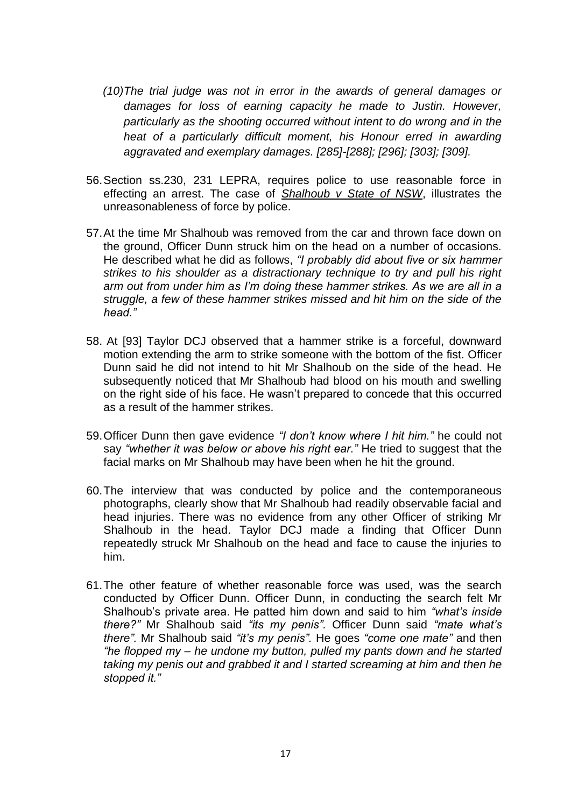- *(10)The trial judge was not in error in the awards of general damages or damages for loss of earning capacity he made to Justin. However, particularly as the shooting occurred without intent to do wrong and in the heat of a particularly difficult moment, his Honour erred in awarding aggravated and exemplary damages. [285]-[288]; [296]; [303]; [309].*
- 56.Section ss.230, 231 LEPRA, requires police to use reasonable force in effecting an arrest. The case of *Shalhoub v State of NSW*, illustrates the unreasonableness of force by police.
- 57.At the time Mr Shalhoub was removed from the car and thrown face down on the ground, Officer Dunn struck him on the head on a number of occasions. He described what he did as follows, *"I probably did about five or six hammer strikes to his shoulder as a distractionary technique to try and pull his right arm out from under him as I'm doing these hammer strikes. As we are all in a struggle, a few of these hammer strikes missed and hit him on the side of the head."*
- 58. At [93] Taylor DCJ observed that a hammer strike is a forceful, downward motion extending the arm to strike someone with the bottom of the fist. Officer Dunn said he did not intend to hit Mr Shalhoub on the side of the head. He subsequently noticed that Mr Shalhoub had blood on his mouth and swelling on the right side of his face. He wasn't prepared to concede that this occurred as a result of the hammer strikes.
- 59.Officer Dunn then gave evidence *"I don't know where I hit him."* he could not say *"whether it was below or above his right ear."* He tried to suggest that the facial marks on Mr Shalhoub may have been when he hit the ground.
- 60.The interview that was conducted by police and the contemporaneous photographs, clearly show that Mr Shalhoub had readily observable facial and head injuries. There was no evidence from any other Officer of striking Mr Shalhoub in the head. Taylor DCJ made a finding that Officer Dunn repeatedly struck Mr Shalhoub on the head and face to cause the injuries to him.
- 61.The other feature of whether reasonable force was used, was the search conducted by Officer Dunn. Officer Dunn, in conducting the search felt Mr Shalhoub's private area. He patted him down and said to him *"what's inside there?"* Mr Shalhoub said *"its my penis".* Officer Dunn said *"mate what's there".* Mr Shalhoub said *"it's my penis".* He goes *"come one mate"* and then *"he flopped my – he undone my button, pulled my pants down and he started taking my penis out and grabbed it and I started screaming at him and then he stopped it."*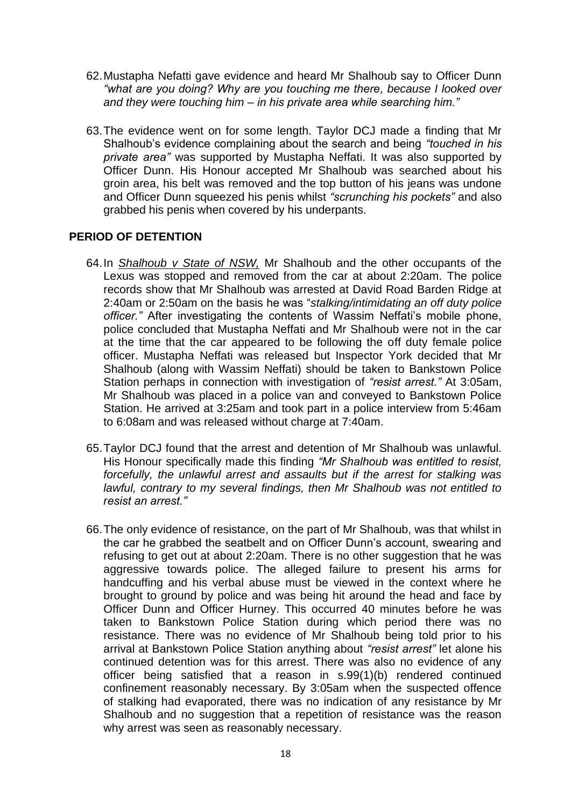- 62.Mustapha Nefatti gave evidence and heard Mr Shalhoub say to Officer Dunn *"what are you doing? Why are you touching me there, because I looked over and they were touching him – in his private area while searching him."*
- 63.The evidence went on for some length. Taylor DCJ made a finding that Mr Shalhoub's evidence complaining about the search and being *"touched in his private area"* was supported by Mustapha Neffati. It was also supported by Officer Dunn. His Honour accepted Mr Shalhoub was searched about his groin area, his belt was removed and the top button of his jeans was undone and Officer Dunn squeezed his penis whilst *"scrunching his pockets"* and also grabbed his penis when covered by his underpants.

#### **PERIOD OF DETENTION**

- 64.In *Shalhoub v State of NSW,* Mr Shalhoub and the other occupants of the Lexus was stopped and removed from the car at about 2:20am. The police records show that Mr Shalhoub was arrested at David Road Barden Ridge at 2:40am or 2:50am on the basis he was "*stalking/intimidating an off duty police officer."* After investigating the contents of Wassim Neffati's mobile phone, police concluded that Mustapha Neffati and Mr Shalhoub were not in the car at the time that the car appeared to be following the off duty female police officer. Mustapha Neffati was released but Inspector York decided that Mr Shalhoub (along with Wassim Neffati) should be taken to Bankstown Police Station perhaps in connection with investigation of *"resist arrest."* At 3:05am, Mr Shalhoub was placed in a police van and conveyed to Bankstown Police Station. He arrived at 3:25am and took part in a police interview from 5:46am to 6:08am and was released without charge at 7:40am.
- 65.Taylor DCJ found that the arrest and detention of Mr Shalhoub was unlawful. His Honour specifically made this finding *"Mr Shalhoub was entitled to resist, forcefully, the unlawful arrest and assaults but if the arrest for stalking was lawful, contrary to my several findings, then Mr Shalhoub was not entitled to resist an arrest."*
- 66.The only evidence of resistance, on the part of Mr Shalhoub, was that whilst in the car he grabbed the seatbelt and on Officer Dunn's account, swearing and refusing to get out at about 2:20am. There is no other suggestion that he was aggressive towards police. The alleged failure to present his arms for handcuffing and his verbal abuse must be viewed in the context where he brought to ground by police and was being hit around the head and face by Officer Dunn and Officer Hurney. This occurred 40 minutes before he was taken to Bankstown Police Station during which period there was no resistance. There was no evidence of Mr Shalhoub being told prior to his arrival at Bankstown Police Station anything about *"resist arrest"* let alone his continued detention was for this arrest. There was also no evidence of any officer being satisfied that a reason in s.99(1)(b) rendered continued confinement reasonably necessary. By 3:05am when the suspected offence of stalking had evaporated, there was no indication of any resistance by Mr Shalhoub and no suggestion that a repetition of resistance was the reason why arrest was seen as reasonably necessary.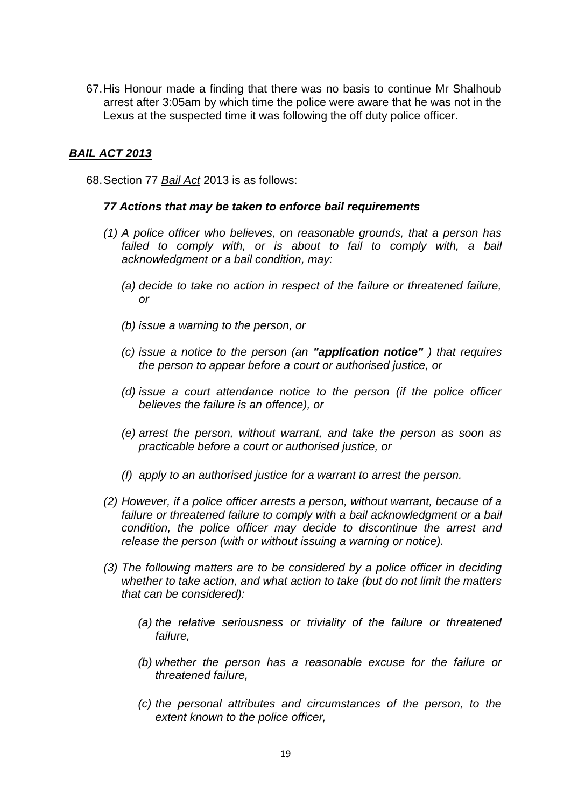67.His Honour made a finding that there was no basis to continue Mr Shalhoub arrest after 3:05am by which time the police were aware that he was not in the Lexus at the suspected time it was following the off duty police officer.

#### *BAIL ACT 2013*

68.Section 77 *Bail Act* 2013 is as follows:

#### *77 Actions that may be taken to enforce bail requirements*

- *(1) A police officer who believes, on reasonable grounds, that a person has*  failed to comply with, or is about to fail to comply with, a bail *[acknowledgment](http://www8.austlii.edu.au/cgi-bin/viewdoc/au/legis/nsw/consol_act/ba201341/s4.html#bail_acknowledgment) or a [bail condition,](http://www8.austlii.edu.au/cgi-bin/viewdoc/au/legis/nsw/consol_act/ba201341/s4.html#bail_condition) may:* 
	- *(a) decide to take no action in respect of the failure or threatened failure, or*
	- *(b) issue a warning to the person, or*
	- *(c) issue a notice to the person (an "application notice" ) that requires the person to appear before a [court](http://www8.austlii.edu.au/cgi-bin/viewdoc/au/legis/nsw/consol_act/ba201341/s4.html#court) or [authorised justice,](http://www8.austlii.edu.au/cgi-bin/viewdoc/au/legis/nsw/consol_act/ba201341/s4.html#authorised_justice) or*
	- *(d) issue a [court](http://www8.austlii.edu.au/cgi-bin/viewdoc/au/legis/nsw/consol_act/ba201341/s4.html#court) attendance notice to the person (if the police officer believes the failure is an [offence\)](http://www8.austlii.edu.au/cgi-bin/viewdoc/au/legis/nsw/consol_act/ba201341/s4.html#offence), or*
	- *(e) arrest the person, without warrant, and take the person as soon as practicable before a [court](http://www8.austlii.edu.au/cgi-bin/viewdoc/au/legis/nsw/consol_act/ba201341/s4.html#court) or [authorised justice,](http://www8.austlii.edu.au/cgi-bin/viewdoc/au/legis/nsw/consol_act/ba201341/s4.html#authorised_justice) or*
	- *(f) apply to an [authorised justice](http://www8.austlii.edu.au/cgi-bin/viewdoc/au/legis/nsw/consol_act/ba201341/s4.html#authorised_justice) for a warrant to arrest the person.*
- *(2) However, if a police officer arrests a person, without warrant, because of a failure or threatened failure to comply with a [bail acknowledgment](http://www8.austlii.edu.au/cgi-bin/viewdoc/au/legis/nsw/consol_act/ba201341/s4.html#bail_acknowledgment) or a [bail](http://www8.austlii.edu.au/cgi-bin/viewdoc/au/legis/nsw/consol_act/ba201341/s4.html#bail_condition)  [condition,](http://www8.austlii.edu.au/cgi-bin/viewdoc/au/legis/nsw/consol_act/ba201341/s4.html#bail_condition) the police officer may decide to discontinue the arrest and release the person (with or without issuing a warning or notice).*
- *(3) The following matters are to be considered by a police officer in deciding whether to take action, and what action to take (but do not limit the matters that can be considered):* 
	- *(a) the relative seriousness or triviality of the failure or threatened failure,*
	- *(b) whether the person has a reasonable excuse for the failure or threatened failure,*
	- *(c) the personal attributes and circumstances of the person, to the extent known to the police officer,*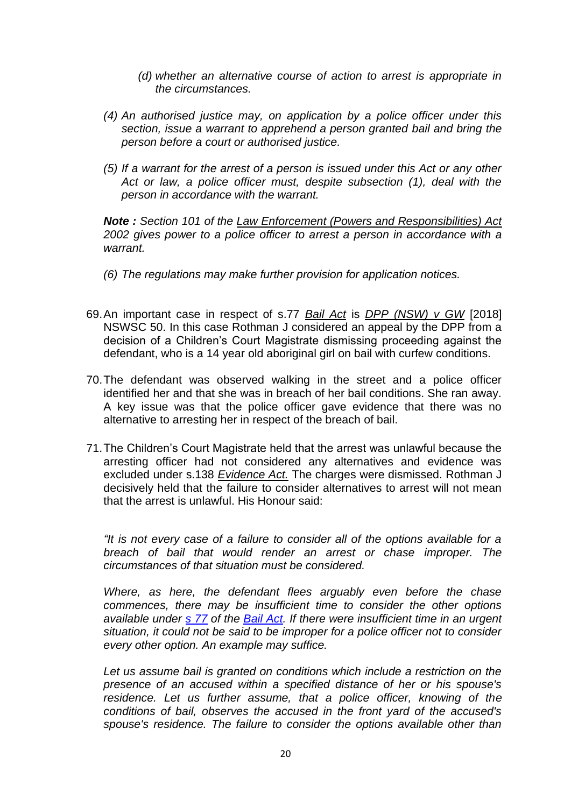- *(d) whether an alternative course of action to arrest is appropriate in the circumstances.*
- *(4) An [authorised justice](http://www8.austlii.edu.au/cgi-bin/viewdoc/au/legis/nsw/consol_act/ba201341/s4.html#authorised_justice) may, on application by a police officer under this section, issue a warrant to apprehend a person granted [bail](http://www8.austlii.edu.au/cgi-bin/viewdoc/au/legis/nsw/consol_act/ba201341/s4.html#bail) and bring the person before a [court](http://www8.austlii.edu.au/cgi-bin/viewdoc/au/legis/nsw/consol_act/ba201341/s4.html#court) or [authorised justice.](http://www8.austlii.edu.au/cgi-bin/viewdoc/au/legis/nsw/consol_act/ba201341/s4.html#authorised_justice)*
- *(5) If a warrant for the arrest of a person is issued under this Act or any other Act or law, a police officer must, despite subsection (1), deal with the person in accordance with the warrant.*

*Note : [Section 101](http://www8.austlii.edu.au/cgi-bin/viewdoc/au/legis/nsw/consol_act/leara2002451/s101.html) of the [Law Enforcement \(Powers and Responsibilities\) Act](http://www8.austlii.edu.au/cgi-bin/viewdoc/au/legis/nsw/consol_act/leara2002451/)  [2002 g](http://www8.austlii.edu.au/cgi-bin/viewdoc/au/legis/nsw/consol_act/leara2002451/)ives power to a police officer to arrest a person in accordance with a warrant.* 

- *(6) The regulations may make further provision for application notices.*
- 69.An important case in respect of s.77 *Bail Act* is *DPP (NSW) v GW* [2018] NSWSC 50. In this case Rothman J considered an appeal by the DPP from a decision of a Children's Court Magistrate dismissing proceeding against the defendant, who is a 14 year old aboriginal girl on bail with curfew conditions.
- 70.The defendant was observed walking in the street and a police officer identified her and that she was in breach of her bail conditions. She ran away. A key issue was that the police officer gave evidence that there was no alternative to arresting her in respect of the breach of bail.
- 71.The Children's Court Magistrate held that the arrest was unlawful because the arresting officer had not considered any alternatives and evidence was excluded under s.138 *Evidence Act.* The charges were dismissed. Rothman J decisively held that the failure to consider alternatives to arrest will not mean that the arrest is unlawful. His Honour said:

*"It is not every case of a failure to consider all of the options available for a breach of bail that would render an arrest or chase improper. The circumstances of that situation must be considered.*

*Where, as here, the defendant flees arguably even before the chase commences, there may be insufficient time to consider the other options available under [s 77](https://www.austlii.edu.au/cgi-bin/viewdoc/au/legis/nsw/consol_act/ba201341/s77.html) of the [Bail Act.](https://www.austlii.edu.au/cgi-bin/viewdoc/au/legis/nsw/consol_act/ba201341/) If there were insufficient time in an urgent situation, it could not be said to be improper for a police officer not to consider every other option. An example may suffice.*

*Let us assume bail is granted on conditions which include a restriction on the presence of an accused within a specified distance of her or his spouse's residence. Let us further assume, that a police officer, knowing of the conditions of bail, observes the accused in the front yard of the accused's spouse's residence. The failure to consider the options available other than*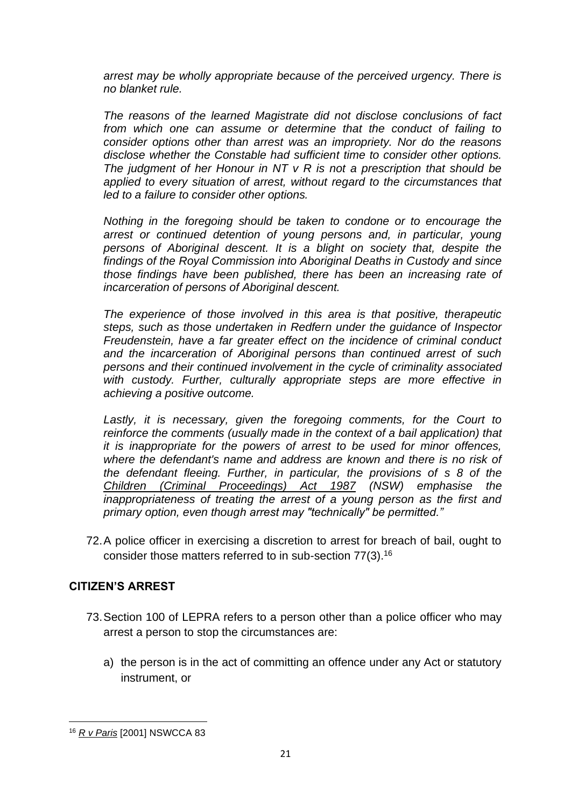*arrest may be wholly appropriate because of the perceived urgency. There is no blanket rule.*

*The reasons of the learned Magistrate did not disclose conclusions of fact from which one can assume or determine that the conduct of failing to consider options other than arrest was an impropriety. Nor do the reasons disclose whether the Constable had sufficient time to consider other options. The judgment of her Honour in NT v R is not a prescription that should be applied to every situation of arrest, without regard to the circumstances that led to a failure to consider other options.*

*Nothing in the foregoing should be taken to condone or to encourage the arrest or continued detention of young persons and, in particular, young*  persons of Aboriginal descent. It is a blight on society that, despite the *findings of the Royal Commission into Aboriginal Deaths in Custody and since those findings have been published, there has been an increasing rate of incarceration of persons of Aboriginal descent.*

*The experience of those involved in this area is that positive, therapeutic steps, such as those undertaken in Redfern under the guidance of Inspector Freudenstein, have a far greater effect on the incidence of criminal conduct and the incarceration of Aboriginal persons than continued arrest of such persons and their continued involvement in the cycle of criminality associated*  with custody. Further, culturally appropriate steps are more effective in *achieving a positive outcome.*

*Lastly, it is necessary, given the foregoing comments, for the Court to reinforce the comments (usually made in the context of a bail application) that it is inappropriate for the powers of arrest to be used for minor offences, where the defendant's name and address are known and there is no risk of the defendant fleeing. Further, in particular, the provisions of [s 8](https://www.austlii.edu.au/cgi-bin/viewdoc/au/legis/nsw/consol_act/cpa1987261/s8.html) of the [Children \(Criminal Proceedings\) Act 1987](https://www.austlii.edu.au/cgi-bin/viewdoc/au/legis/nsw/consol_act/cpa1987261/) (NSW) emphasise the inappropriateness of treating the arrest of a young person as the first and primary option, even though arrest may "technically" be permitted."*

72.A police officer in exercising a discretion to arrest for breach of bail, ought to consider those matters referred to in sub-section 77(3).<sup>16</sup>

## **CITIZEN'S ARREST**

- 73.Section 100 of LEPRA refers to a person other than a police officer who may arrest a person to stop the circumstances are:
	- a) the person is in the act of committing an offence under any Act or statutory instrument, or

<sup>16</sup> *R v Paris* [2001] NSWCCA 83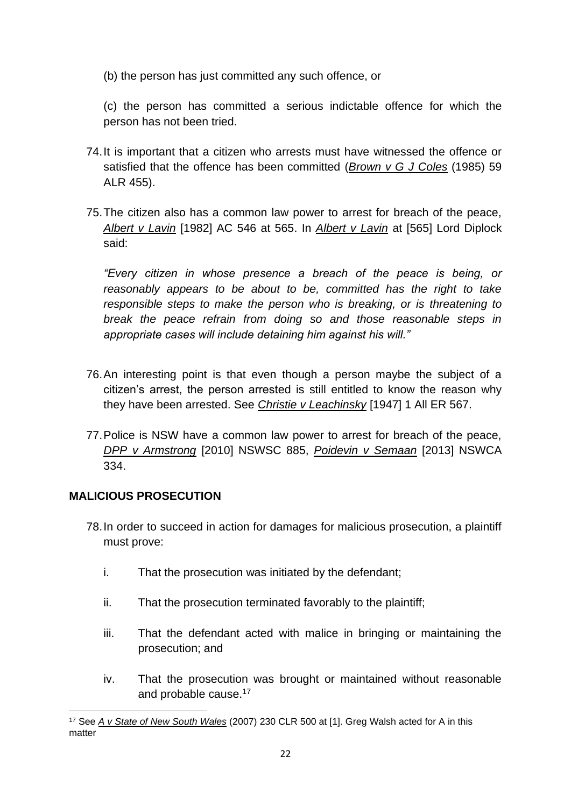(b) the person has just committed any such offence, or

(c) the person has committed a [serious indictable offence](http://www8.austlii.edu.au/cgi-bin/viewdoc/au/legis/nsw/consol_act/leara2002451/s3.html#serious_indictable_offence) for which the person has not been tried.

- 74.It is important that a citizen who arrests must have witnessed the offence or satisfied that the offence has been committed (*Brown v G J Coles* (1985) 59 ALR 455).
- 75.The citizen also has a common law power to arrest for breach of the peace, *Albert v Lavin* [1982] AC 546 at 565. In *Albert v Lavin* at [565] Lord Diplock said:

*"Every citizen in whose presence a breach of the peace is being, or reasonably appears to be about to be, committed has the right to take responsible steps to make the person who is breaking, or is threatening to break the peace refrain from doing so and those reasonable steps in appropriate cases will include detaining him against his will."*

- 76.An interesting point is that even though a person maybe the subject of a citizen's arrest, the person arrested is still entitled to know the reason why they have been arrested. See *Christie v Leachinsky* [1947] 1 All ER 567.
- 77.Police is NSW have a common law power to arrest for breach of the peace, *DPP v Armstrong* [2010] NSWSC 885, *Poidevin v Semaan* [2013] NSWCA 334.

## **MALICIOUS PROSECUTION**

- 78.In order to succeed in action for damages for malicious prosecution, a plaintiff must prove:
	- i. That the prosecution was initiated by the defendant;
	- ii. That the prosecution terminated favorably to the plaintiff;
	- iii. That the defendant acted with malice in bringing or maintaining the prosecution; and
	- iv. That the prosecution was brought or maintained without reasonable and probable cause.<sup>17</sup>

<sup>17</sup> See *A v State of New South Wales* (2007) 230 CLR 500 at [1]. Greg Walsh acted for A in this matter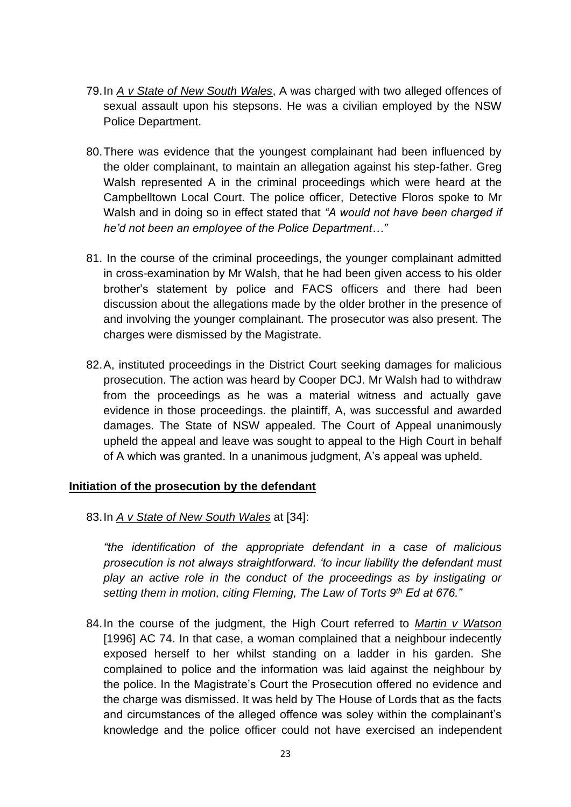- 79.In *A v State of New South Wales*, A was charged with two alleged offences of sexual assault upon his stepsons. He was a civilian employed by the NSW Police Department.
- 80.There was evidence that the youngest complainant had been influenced by the older complainant, to maintain an allegation against his step-father. Greg Walsh represented A in the criminal proceedings which were heard at the Campbelltown Local Court. The police officer, Detective Floros spoke to Mr Walsh and in doing so in effect stated that *"A would not have been charged if he'd not been an employee of the Police Department…"*
- 81. In the course of the criminal proceedings, the younger complainant admitted in cross-examination by Mr Walsh, that he had been given access to his older brother's statement by police and FACS officers and there had been discussion about the allegations made by the older brother in the presence of and involving the younger complainant. The prosecutor was also present. The charges were dismissed by the Magistrate.
- 82.A, instituted proceedings in the District Court seeking damages for malicious prosecution. The action was heard by Cooper DCJ. Mr Walsh had to withdraw from the proceedings as he was a material witness and actually gave evidence in those proceedings. the plaintiff, A, was successful and awarded damages. The State of NSW appealed. The Court of Appeal unanimously upheld the appeal and leave was sought to appeal to the High Court in behalf of A which was granted. In a unanimous judgment, A's appeal was upheld.

#### **Initiation of the prosecution by the defendant**

83.In *A v State of New South Wales* at [34]:

*"the identification of the appropriate defendant in a case of malicious prosecution is not always straightforward. 'to incur liability the defendant must play an active role in the conduct of the proceedings as by instigating or setting them in motion, citing Fleming, The Law of Torts 9th Ed at 676."*

84.In the course of the judgment, the High Court referred to *Martin v Watson* [1996] AC 74. In that case, a woman complained that a neighbour indecently exposed herself to her whilst standing on a ladder in his garden. She complained to police and the information was laid against the neighbour by the police. In the Magistrate's Court the Prosecution offered no evidence and the charge was dismissed. It was held by The House of Lords that as the facts and circumstances of the alleged offence was soley within the complainant's knowledge and the police officer could not have exercised an independent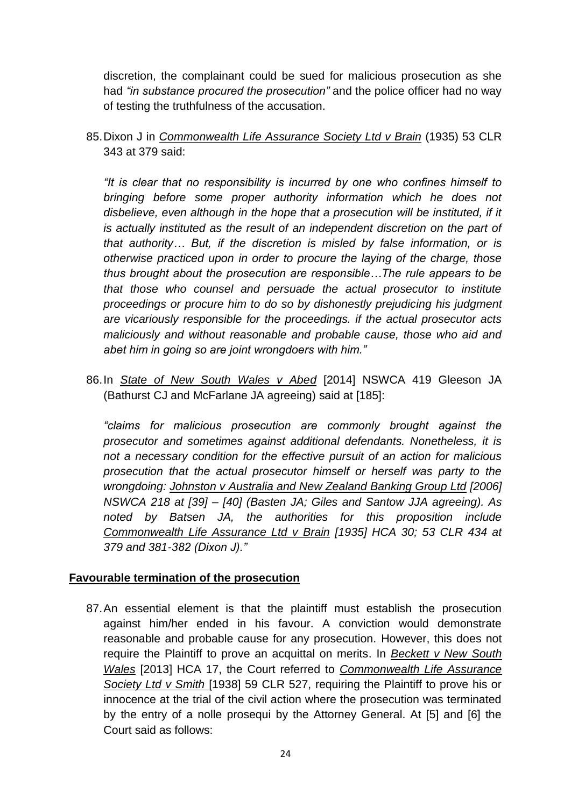discretion, the complainant could be sued for malicious prosecution as she had *"in substance procured the prosecution"* and the police officer had no way of testing the truthfulness of the accusation.

85.Dixon J in *Commonwealth Life Assurance Society Ltd v Brain* (1935) 53 CLR 343 at 379 said:

*"It is clear that no responsibility is incurred by one who confines himself to bringing before some proper authority information which he does not*  disbelieve, even although in the hope that a prosecution will be instituted, if it *is actually instituted as the result of an independent discretion on the part of that authority… But, if the discretion is misled by false information, or is otherwise practiced upon in order to procure the laying of the charge, those thus brought about the prosecution are responsible…The rule appears to be that those who counsel and persuade the actual prosecutor to institute proceedings or procure him to do so by dishonestly prejudicing his judgment are vicariously responsible for the proceedings. if the actual prosecutor acts maliciously and without reasonable and probable cause, those who aid and abet him in going so are joint wrongdoers with him."*

86.In *State of New South Wales v Abed* [2014] NSWCA 419 Gleeson JA (Bathurst CJ and McFarlane JA agreeing) said at [185]:

*"claims for malicious prosecution are commonly brought against the prosecutor and sometimes against additional defendants. Nonetheless, it is not a necessary condition for the effective pursuit of an action for malicious prosecution that the actual prosecutor himself or herself was party to the wrongdoing: Johnston v Australia and New Zealand Banking Group Ltd [2006] NSWCA 218 at [39] – [40] (Basten JA; Giles and Santow JJA agreeing). As noted by Batsen JA, the authorities for this proposition include Commonwealth Life Assurance Ltd v Brain [1935] HCA 30; 53 CLR 434 at 379 and 381-382 (Dixon J)."*

#### **Favourable termination of the prosecution**

87.An essential element is that the plaintiff must establish the prosecution against him/her ended in his favour. A conviction would demonstrate reasonable and probable cause for any prosecution. However, this does not require the Plaintiff to prove an acquittal on merits. In *Beckett v New South Wales* [2013] HCA 17, the Court referred to *Commonwealth Life Assurance Society Ltd v Smith* [1938] 59 CLR 527, requiring the Plaintiff to prove his or innocence at the trial of the civil action where the prosecution was terminated by the entry of a nolle prosequi by the Attorney General. At [5] and [6] the Court said as follows: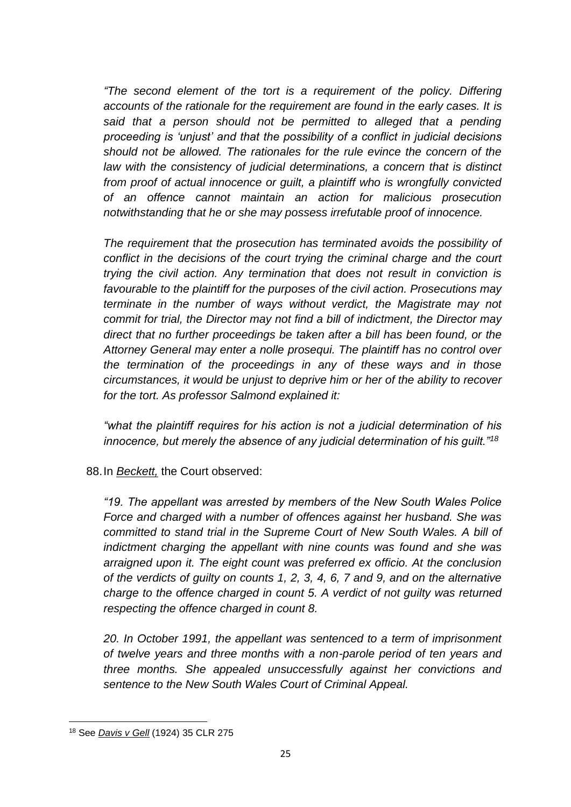*"The second element of the tort is a requirement of the policy. Differing accounts of the rationale for the requirement are found in the early cases. It is said that a person should not be permitted to alleged that a pending proceeding is 'unjust' and that the possibility of a conflict in judicial decisions should not be allowed. The rationales for the rule evince the concern of the law with the consistency of judicial determinations, a concern that is distinct from proof of actual innocence or guilt, a plaintiff who is wrongfully convicted of an offence cannot maintain an action for malicious prosecution notwithstanding that he or she may possess irrefutable proof of innocence.*

*The requirement that the prosecution has terminated avoids the possibility of conflict in the decisions of the court trying the criminal charge and the court trying the civil action. Any termination that does not result in conviction is favourable to the plaintiff for the purposes of the civil action. Prosecutions may terminate in the number of ways without verdict, the Magistrate may not commit for trial, the Director may not find a bill of indictment, the Director may direct that no further proceedings be taken after a bill has been found, or the Attorney General may enter a nolle prosequi. The plaintiff has no control over the termination of the proceedings in any of these ways and in those circumstances, it would be unjust to deprive him or her of the ability to recover for the tort. As professor Salmond explained it:*

*"what the plaintiff requires for his action is not a judicial determination of his innocence, but merely the absence of any judicial determination of his guilt."<sup>18</sup>*

88.In *Beckett,* the Court observed:

*"19. The appellant was arrested by members of the New South Wales Police Force and charged with a number of offences against her husband. She was committed to stand trial in the Supreme Court of New South Wales. A bill of indictment charging the appellant with nine counts was found and she was arraigned upon it. The eight count was preferred ex officio. At the conclusion of the verdicts of guilty on counts 1, 2, 3, 4, 6, 7 and 9, and on the alternative charge to the offence charged in count 5. A verdict of not guilty was returned respecting the offence charged in count 8.*

*20. In October 1991, the appellant was sentenced to a term of imprisonment of twelve years and three months with a non-parole period of ten years and three months. She appealed unsuccessfully against her convictions and sentence to the New South Wales Court of Criminal Appeal.*

<sup>18</sup> See *Davis v Gell* (1924) 35 CLR 275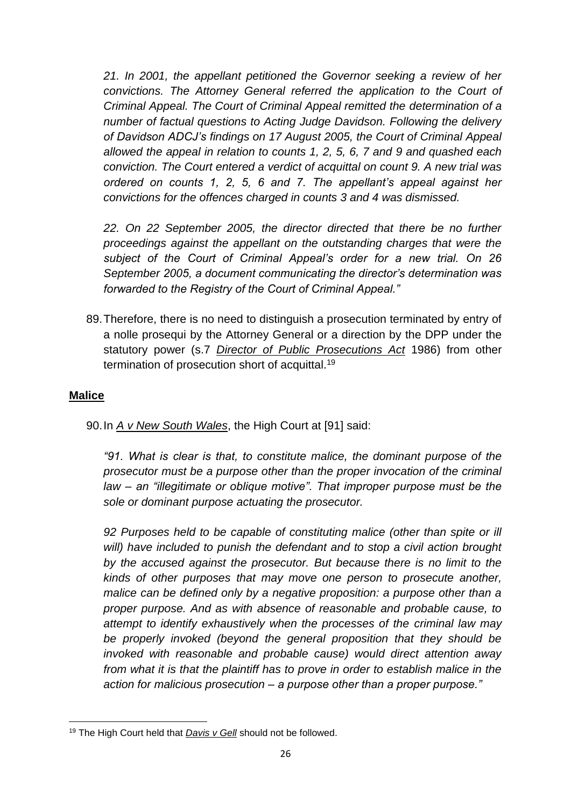*21. In 2001, the appellant petitioned the Governor seeking a review of her convictions. The Attorney General referred the application to the Court of Criminal Appeal. The Court of Criminal Appeal remitted the determination of a number of factual questions to Acting Judge Davidson. Following the delivery of Davidson ADCJ's findings on 17 August 2005, the Court of Criminal Appeal allowed the appeal in relation to counts 1, 2, 5, 6, 7 and 9 and quashed each conviction. The Court entered a verdict of acquittal on count 9. A new trial was ordered on counts 1, 2, 5, 6 and 7. The appellant's appeal against her convictions for the offences charged in counts 3 and 4 was dismissed.*

*22. On 22 September 2005, the director directed that there be no further proceedings against the appellant on the outstanding charges that were the subject of the Court of Criminal Appeal's order for a new trial. On 26 September 2005, a document communicating the director's determination was forwarded to the Registry of the Court of Criminal Appeal."*

89.Therefore, there is no need to distinguish a prosecution terminated by entry of a nolle prosequi by the Attorney General or a direction by the DPP under the statutory power (s.7 *Director of Public Prosecutions Act* 1986) from other termination of prosecution short of acquittal.<sup>19</sup>

### **Malice**

90.In *A v New South Wales*, the High Court at [91] said:

*"91. What is clear is that, to constitute malice, the dominant purpose of the prosecutor must be a purpose other than the proper invocation of the criminal law – an "illegitimate or oblique motive". That improper purpose must be the sole or dominant purpose actuating the prosecutor.*

*92 Purposes held to be capable of constituting malice (other than spite or ill will) have included to punish the defendant and to stop a civil action brought by the accused against the prosecutor. But because there is no limit to the kinds of other purposes that may move one person to prosecute another, malice can be defined only by a negative proposition: a purpose other than a proper purpose. And as with absence of reasonable and probable cause, to attempt to identify exhaustively when the processes of the criminal law may be properly invoked (beyond the general proposition that they should be invoked with reasonable and probable cause) would direct attention away from what it is that the plaintiff has to prove in order to establish malice in the action for malicious prosecution – a purpose other than a proper purpose."*

<sup>19</sup> The High Court held that *Davis v Gell* should not be followed.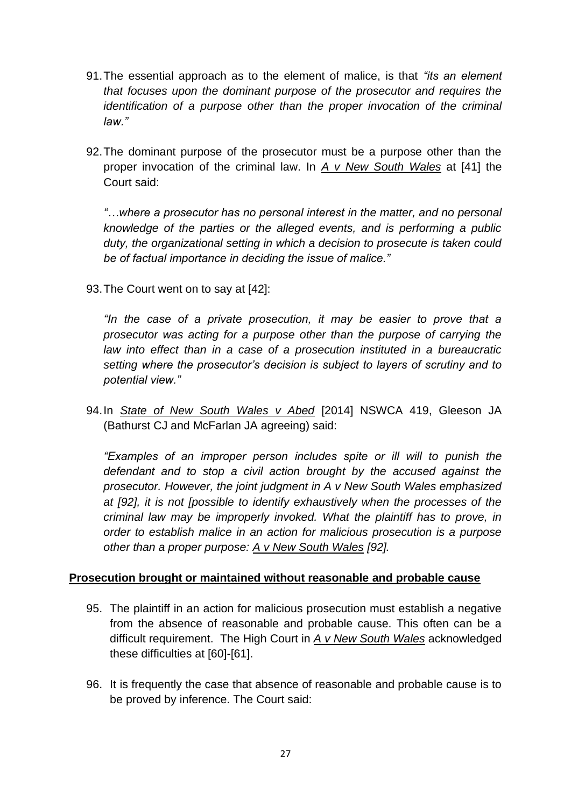- 91.The essential approach as to the element of malice, is that *"its an element that focuses upon the dominant purpose of the prosecutor and requires the identification of a purpose other than the proper invocation of the criminal law."*
- 92.The dominant purpose of the prosecutor must be a purpose other than the proper invocation of the criminal law. In *A v New South Wales* at [41] the Court said:

*"…where a prosecutor has no personal interest in the matter, and no personal knowledge of the parties or the alleged events, and is performing a public duty, the organizational setting in which a decision to prosecute is taken could be of factual importance in deciding the issue of malice."*

93.The Court went on to say at [42]:

*"In the case of a private prosecution, it may be easier to prove that a prosecutor was acting for a purpose other than the purpose of carrying the law into effect than in a case of a prosecution instituted in a bureaucratic setting where the prosecutor's decision is subject to layers of scrutiny and to potential view."*

94.In *State of New South Wales v Abed* [2014] NSWCA 419, Gleeson JA (Bathurst CJ and McFarlan JA agreeing) said:

*"Examples of an improper person includes spite or ill will to punish the defendant and to stop a civil action brought by the accused against the prosecutor. However, the joint judgment in A v New South Wales emphasized at [92], it is not [possible to identify exhaustively when the processes of the criminal law may be improperly invoked. What the plaintiff has to prove, in order to establish malice in an action for malicious prosecution is a purpose other than a proper purpose: A v New South Wales [92].*

#### **Prosecution brought or maintained without reasonable and probable cause**

- 95. The plaintiff in an action for malicious prosecution must establish a negative from the absence of reasonable and probable cause. This often can be a difficult requirement. The High Court in *A v New South Wales* acknowledged these difficulties at [60]-[61].
- 96. It is frequently the case that absence of reasonable and probable cause is to be proved by inference. The Court said: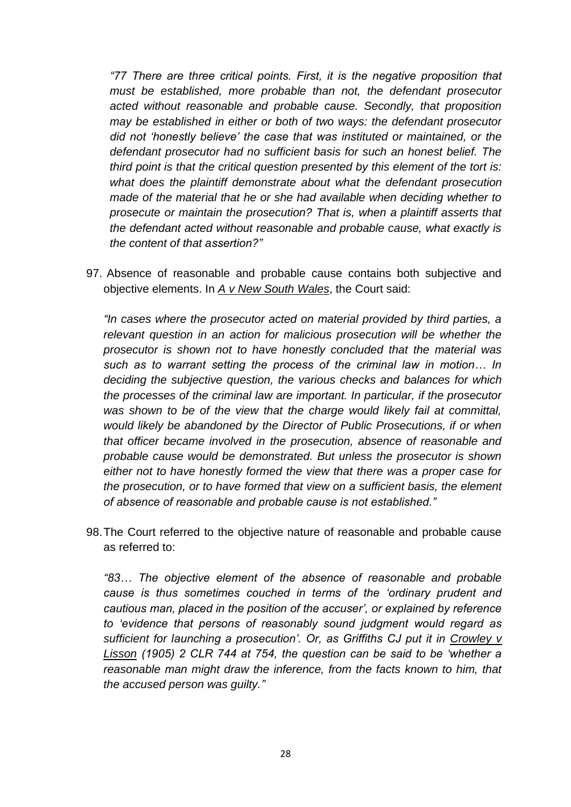*"77 There are three critical points. First, it is the negative proposition that must be established, more probable than not, the defendant prosecutor acted without reasonable and probable cause. Secondly, that proposition may be established in either or both of two ways: the defendant prosecutor did not 'honestly believe' the case that was instituted or maintained, or the defendant prosecutor had no sufficient basis for such an honest belief. The third point is that the critical question presented by this element of the tort is: what does the plaintiff demonstrate about what the defendant prosecution made of the material that he or she had available when deciding whether to prosecute or maintain the prosecution? That is, when a plaintiff asserts that the defendant acted without reasonable and probable cause, what exactly is the content of that assertion?"*

97. Absence of reasonable and probable cause contains both subjective and objective elements. In *A v New South Wales*, the Court said:

*"In cases where the prosecutor acted on material provided by third parties, a relevant question in an action for malicious prosecution will be whether the prosecutor is shown not to have honestly concluded that the material was such as to warrant setting the process of the criminal law in motion… In deciding the subjective question, the various checks and balances for which the processes of the criminal law are important. In particular, if the prosecutor was shown to be of the view that the charge would likely fail at committal, would likely be abandoned by the Director of Public Prosecutions, if or when that officer became involved in the prosecution, absence of reasonable and probable cause would be demonstrated. But unless the prosecutor is shown either not to have honestly formed the view that there was a proper case for the prosecution, or to have formed that view on a sufficient basis, the element of absence of reasonable and probable cause is not established."*

98.The Court referred to the objective nature of reasonable and probable cause as referred to:

*"83… The objective element of the absence of reasonable and probable cause is thus sometimes couched in terms of the 'ordinary prudent and cautious man, placed in the position of the accuser', or explained by reference to 'evidence that persons of reasonably sound judgment would regard as sufficient for launching a prosecution'. Or, as Griffiths CJ put it in Crowley v Lisson (1905) 2 CLR 744 at 754, the question can be said to be 'whether a reasonable man might draw the inference, from the facts known to him, that the accused person was guilty."*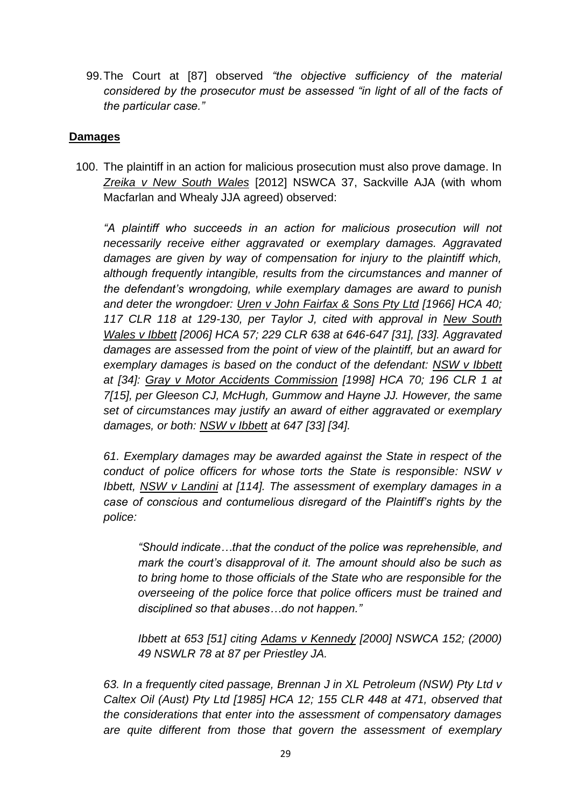99.The Court at [87] observed *"the objective sufficiency of the material considered by the prosecutor must be assessed "in light of all of the facts of the particular case."*

## **Damages**

100. The plaintiff in an action for malicious prosecution must also prove damage. In *Zreika v New South Wales* [2012] NSWCA 37, Sackville AJA (with whom Macfarlan and Whealy JJA agreed) observed:

*"A plaintiff who succeeds in an action for malicious prosecution will not necessarily receive either aggravated or exemplary damages. Aggravated damages are given by way of compensation for injury to the plaintiff which, although frequently intangible, results from the circumstances and manner of the defendant's wrongdoing, while exemplary damages are award to punish and deter the wrongdoer: Uren v John Fairfax & Sons Pty Ltd [1966] HCA 40; 117 CLR 118 at 129-130, per Taylor J, cited with approval in New South Wales v Ibbett [2006] HCA 57; 229 CLR 638 at 646-647 [31], [33]. Aggravated damages are assessed from the point of view of the plaintiff, but an award for exemplary damages is based on the conduct of the defendant: NSW v Ibbett at [34]: Gray v Motor Accidents Commission [1998] HCA 70; 196 CLR 1 at 7[15], per Gleeson CJ, McHugh, Gummow and Hayne JJ. However, the same set of circumstances may justify an award of either aggravated or exemplary damages, or both: NSW v Ibbett at 647 [33] [34].*

*61. Exemplary damages may be awarded against the State in respect of the conduct of police officers for whose torts the State is responsible: NSW v Ibbett, NSW v Landini at [114]. The assessment of exemplary damages in a case of conscious and contumelious disregard of the Plaintiff's rights by the police:*

*"Should indicate…that the conduct of the police was reprehensible, and mark the court's disapproval of it. The amount should also be such as to bring home to those officials of the State who are responsible for the overseeing of the police force that police officers must be trained and disciplined so that abuses…do not happen."*

*Ibbett at 653 [51] citing Adams v Kennedy [2000] NSWCA 152; (2000) 49 NSWLR 78 at 87 per Priestley JA.*

*63. In a frequently cited passage, Brennan J in XL Petroleum (NSW) Pty Ltd v Caltex Oil (Aust) Pty Ltd [1985] HCA 12; 155 CLR 448 at 471, observed that the considerations that enter into the assessment of compensatory damages are quite different from those that govern the assessment of exemplary*